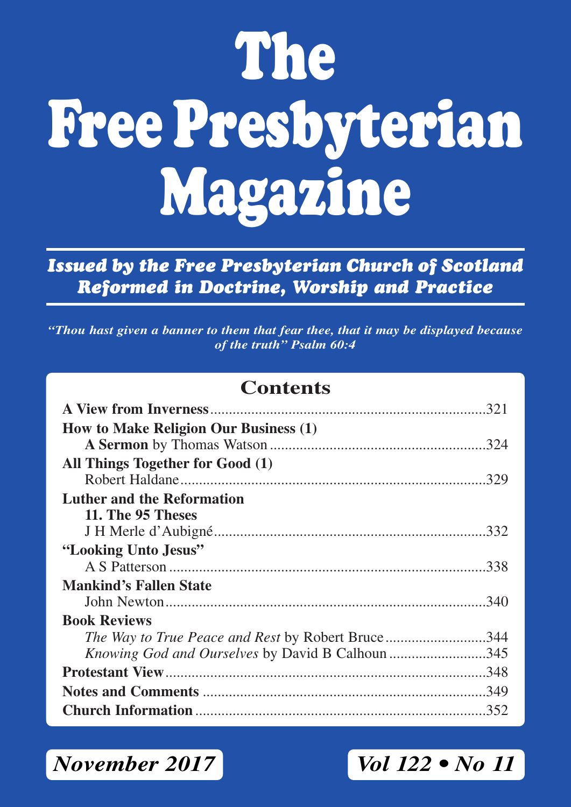# **The Free Presbyterian Magazine**

*Issued by the Free Presbyterian Church of Scotland Reformed in Doctrine, Worship and Practice*

*"Thou hast given a banner to them that fear thee, that it may be displayed because of the truth" Psalm 60:4*

### **Contents**

| How to Make Religion Our Business (1)             |  |
|---------------------------------------------------|--|
|                                                   |  |
| All Things Together for Good (1)                  |  |
|                                                   |  |
| <b>Luther and the Reformation</b>                 |  |
| 11. The 95 Theses                                 |  |
|                                                   |  |
| "Looking Unto Jesus"                              |  |
|                                                   |  |
| <b>Mankind's Fallen State</b>                     |  |
|                                                   |  |
| <b>Book Reviews</b>                               |  |
| The Way to True Peace and Rest by Robert Bruce344 |  |
| Knowing God and Ourselves by David B Calhoun 345  |  |
|                                                   |  |
|                                                   |  |
|                                                   |  |

*November 2017 Vol 122 • No 11*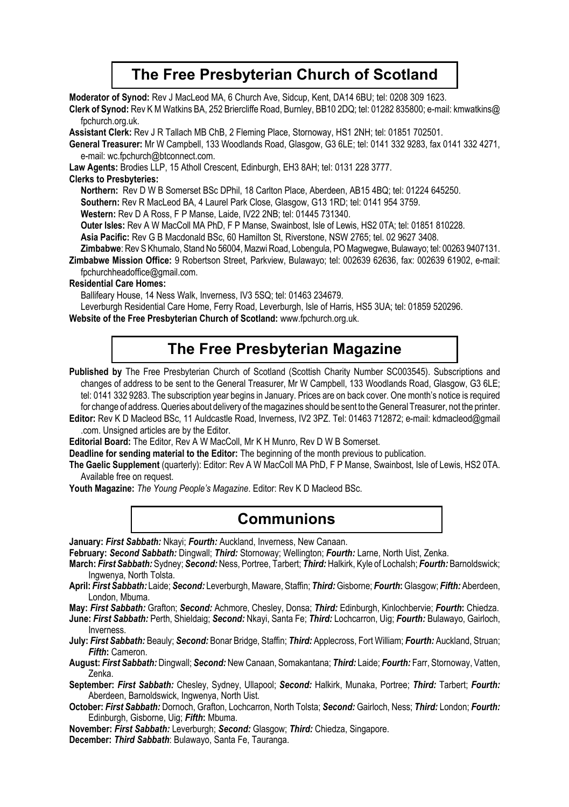### **The Free Presbyterian Church of Scotland**

**Moderator of Synod:** Rev J MacLeod MA, 6 Church Ave, Sidcup, Kent, DA14 6BU; tel: 0208 309 1623.

**Clerk of Synod:** Rev K M Watkins BA, 252 Briercliffe Road, Burnley, BB10 2DQ; tel: 01282 835800; e-mail: kmwatkins@ fpchurch.org.uk.

**Assistant Clerk:** Rev J R Tallach MB ChB, 2 Fleming Place, Stornoway, HS1 2NH; tel: 01851 702501.

**General Treasurer:** Mr W Campbell, 133 Woodlands Road, Glasgow, G3 6LE; tel: 0141 332 9283, fax 0141 332 4271, e-mail: wc.fpchurch@btconnect.com.

**Law Agents:** Brodies LLP, 15 Atholl Crescent, Edinburgh, EH3 8AH; tel: 0131 228 3777.

#### **Clerks to Presbyteries:**

**Northern:** Rev D W B Somerset BSc DPhil, 18 Carlton Place, Aberdeen, AB15 4BQ; tel: 01224 645250.

**Southern:** Rev R MacLeod BA, 4 Laurel Park Close, Glasgow, G13 1RD; tel: 0141 954 3759.

**Western:** Rev D A Ross, F P Manse, Laide, IV22 2NB; tel: 01445 731340.

**Outer lsles:** Rev A W MacColl MA PhD, F P Manse, Swainbost, Isle of Lewis, HS2 0TA; tel: 01851 810228.

**Asia Pacific:** Rev G B Macdonald BSc, 60 Hamilton St, Riverstone, NSW 2765; tel. 02 9627 3408.

**Zimbabwe**: Rev S Khumalo, Stand No 56004, Mazwi Road, Lobengula, PO Magwegwe, Bulawayo; tel: 00263 9407131.

**Zimbabwe Mission Office:** 9 Robertson Street, Parkview, Bulawayo; tel: 002639 62636, fax: 002639 61902, e-mail: fpchurchheadoffice@gmail.com.

#### **Residential Care Homes:**

Ballifeary House, 14 Ness Walk, Inverness, IV3 5SQ; tel: 01463 234679.

Leverburgh Residential Care Home, Ferry Road, Leverburgh, Isle of Harris, HS5 3UA; tel: 01859 520296.

**Website of the Free Presbyterian Church of Scotland:** www.fpchurch.org.uk.

### **The Free Presbyterian Magazine**

Published by The Free Presbyterian Church of Scotland (Scottish Charity Number SC003545). Subscriptions and changes of address to be sent to the General Treasurer, Mr W Campbell, 133 Woodlands Road, Glasgow, G3 6LE; tel: 0141 332 9283. The subscription year begins in January. Prices are on back cover. One month's notice is required for change of address. Queries about delivery of the magazines should be sent to the General Treasurer, not the printer.

**Editor:** Rev K D Macleod BSc, 11 Auldcastle Road, Inverness, IV2 3PZ. Tel: 01463 712872; e-mail: kdmacleod@gmail .com. Unsigned articles are by the Editor.

**Editorial Board:** The Editor, Rev A W MacColl, Mr K H Munro, Rev D W B Somerset.

**Deadline for sending material to the Editor:** The beginning of the month previous to publication.

**The Gaelic Supplement** (quarterly): Editor: Rev A W MacColl MA PhD, F P Manse, Swainbost, Isle of Lewis, HS2 0TA. Available free on request.

**Youth Magazine:** *The Young People's Magazine*. Editor: Rev K D Macleod BSc.

### **Communions**

**January:** *First Sabbath:* Nkayi; *Fourth:* Auckland, Inverness, New Canaan.

**February:** *Second Sabbath:* Dingwall; *Third:* Stornoway; Wellington; *Fourth:* Larne, North Uist, Zenka.

- **March:** *First Sabbath:* Sydney; *Second:* Ness, Portree, Tarbert; *Third:* Halkirk, Kyle of Lochalsh; *Fourth:* Barnoldswick; Ingwenya, North Tolsta.
- **April:** *First Sabbath:* Laide; *Second:* Leverburgh, Maware, Staffin; *Third:* Gisborne; *Fourth***:** Glasgow; *Fifth:* Aberdeen, London, Mbuma.

**May:** *First Sabbath:* Grafton; *Second:* Achmore, Chesley, Donsa; *Third:* Edinburgh, Kinlochbervie; *Fourth***:** Chiedza.

**June:** *First Sabbath:* Perth, Shieldaig; *Second:* Nkayi, Santa Fe; *Third:* Lochcarron, Uig; *Fourth:* Bulawayo, Gairloch, Inverness.

**July:** *First Sabbath:* Beauly; *Second:* Bonar Bridge, Staffin; *Third:* Applecross, Fort William; *Fourth:* Auckland, Struan; *Fifth***:** Cameron.

**August:** *First Sabbath:* Dingwall; *Second:* New Canaan, Somakantana; *Third:* Laide; *Fourth:* Farr, Stornoway, Vatten, Zenka.

**September:** *First Sabbath:* Chesley, Sydney, Ullapool; *Second:* Halkirk, Munaka, Portree; *Third:* Tarbert; *Fourth:* Aberdeen, Barnoldswick, Ingwenya, North Uist.

**October:** *First Sabbath:* Dornoch, Grafton, Lochcarron, North Tolsta; *Second:* Gairloch, Ness; *Third:* London; *Fourth:* Edinburgh, Gisborne, Uig; *Fifth***:** Mbuma.

**November:** *First Sabbath:* Leverburgh; *Second:* Glasgow; *Third:* Chiedza, Singapore.

**December:** *Third Sabbath*: Bulawayo, Santa Fe, Tauranga.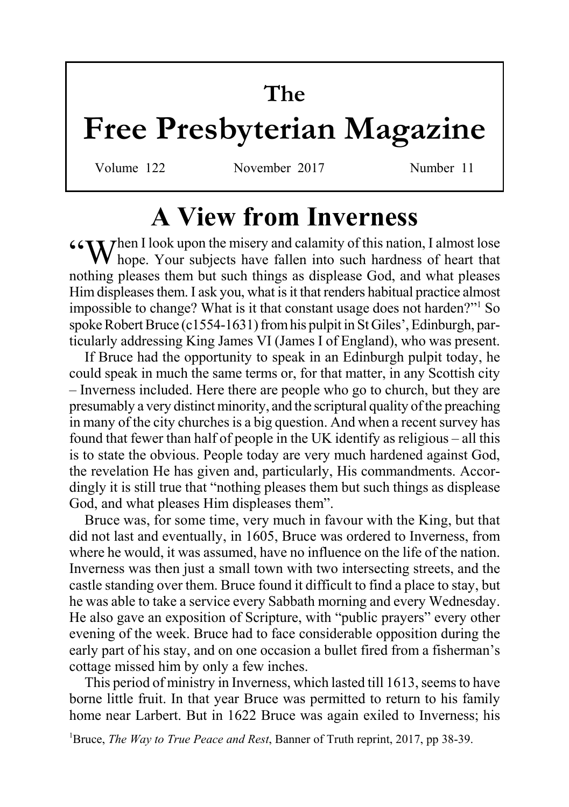## **The**

## **Free Presbyterian Magazine**

Volume 122 November 2017 Number 11

## **A View from Inverness**

 $G_{\text{N}}$  Then I look upon the misery and calamity of this nation, I almost lose hope. Your subjects have fallen into such hardness of heart that nothing pleases them but such things as displease God, and what pleases Him displeases them. I ask you, what is it that renders habitual practice almost impossible to change? What is it that constant usage does not harden?"<sup>1</sup> So spoke Robert Bruce (c1554-1631) from his pulpit in St Giles', Edinburgh, particularly addressing King James VI (James I of England), who was present.

If Bruce had the opportunity to speak in an Edinburgh pulpit today, he could speak in much the same terms or, for that matter, in any Scottish city – Inverness included. Here there are people who go to church, but they are presumably a very distinct minority, and the scriptural quality of the preaching in many of the city churches is a big question. And when a recent survey has found that fewer than half of people in the UK identify as religious – all this is to state the obvious. People today are very much hardened against God, the revelation He has given and, particularly, His commandments. Accordingly it is still true that "nothing pleases them but such things as displease God, and what pleases Him displeases them".

Bruce was, for some time, very much in favour with the King, but that did not last and eventually, in 1605, Bruce was ordered to Inverness, from where he would, it was assumed, have no influence on the life of the nation. Inverness was then just a small town with two intersecting streets, and the castle standing over them. Bruce found it difficult to find a place to stay, but he was able to take a service every Sabbath morning and every Wednesday. He also gave an exposition of Scripture, with "public prayers" every other evening of the week. Bruce had to face considerable opposition during the early part of his stay, and on one occasion a bullet fired from a fisherman's cottage missed him by only a few inches.

This period of ministry in Inverness, which lasted till 1613, seems to have borne little fruit. In that year Bruce was permitted to return to his family home near Larbert. But in 1622 Bruce was again exiled to Inverness; his

<sup>1</sup>Bruce, *The Way to True Peace and Rest*, Banner of Truth reprint, 2017, pp 38-39.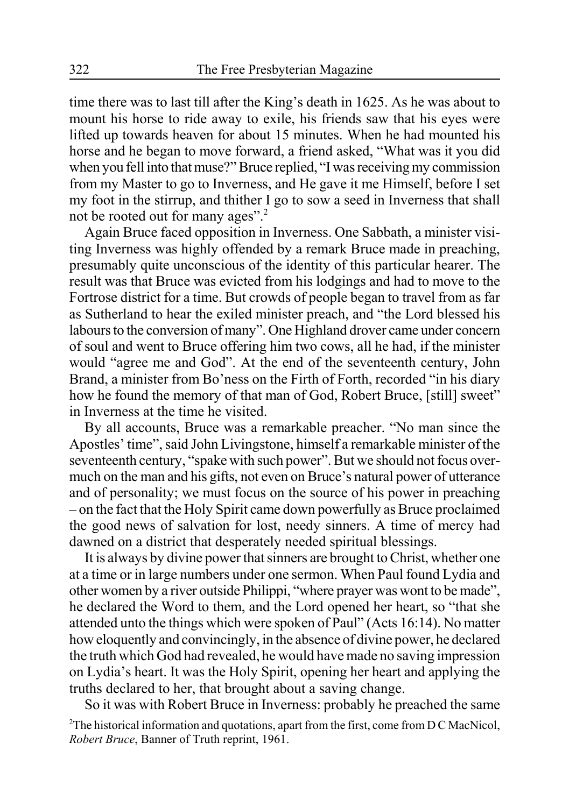time there was to last till after the King's death in 1625. As he was about to mount his horse to ride away to exile, his friends saw that his eyes were lifted up towards heaven for about 15 minutes. When he had mounted his horse and he began to move forward, a friend asked, "What was it you did when you fell into that muse?" Bruce replied, "I was receiving my commission from my Master to go to Inverness, and He gave it me Himself, before I set my foot in the stirrup, and thither I go to sow a seed in Inverness that shall not be rooted out for many ages".<sup>2</sup>

Again Bruce faced opposition in Inverness. One Sabbath, a minister visiting Inverness was highly offended by a remark Bruce made in preaching, presumably quite unconscious of the identity of this particular hearer. The result was that Bruce was evicted from his lodgings and had to move to the Fortrose district for a time. But crowds of people began to travel from as far as Sutherland to hear the exiled minister preach, and "the Lord blessed his labours to the conversion of many". One Highland drover came under concern of soul and went to Bruce offering him two cows, all he had, if the minister would "agree me and God". At the end of the seventeenth century, John Brand, a minister from Bo'ness on the Firth of Forth, recorded "in his diary how he found the memory of that man of God, Robert Bruce, [still] sweet" in Inverness at the time he visited.

By all accounts, Bruce was a remarkable preacher. "No man since the Apostles' time", said John Livingstone, himself a remarkable minister of the seventeenth century, "spake with such power". But we should not focus overmuch on the man and his gifts, not even on Bruce's natural power of utterance and of personality; we must focus on the source of his power in preaching – on the fact that the Holy Spirit came down powerfully as Bruce proclaimed the good news of salvation for lost, needy sinners. A time of mercy had dawned on a district that desperately needed spiritual blessings.

It is always by divine power that sinners are brought to Christ, whether one at a time or in large numbers under one sermon. When Paul found Lydia and other women by a river outside Philippi, "where prayer was wont to be made", he declared the Word to them, and the Lord opened her heart, so "that she attended unto the things which were spoken of Paul" (Acts 16:14). No matter how eloquently and convincingly, in the absence of divine power, he declared the truth which God had revealed, he would have made no saving impression on Lydia's heart. It was the Holy Spirit, opening her heart and applying the truths declared to her, that brought about a saving change.

So it was with Robert Bruce in Inverness: probably he preached the same <sup>2</sup>The historical information and quotations, apart from the first, come from D C MacNicol, *Robert Bruce*, Banner of Truth reprint, 1961.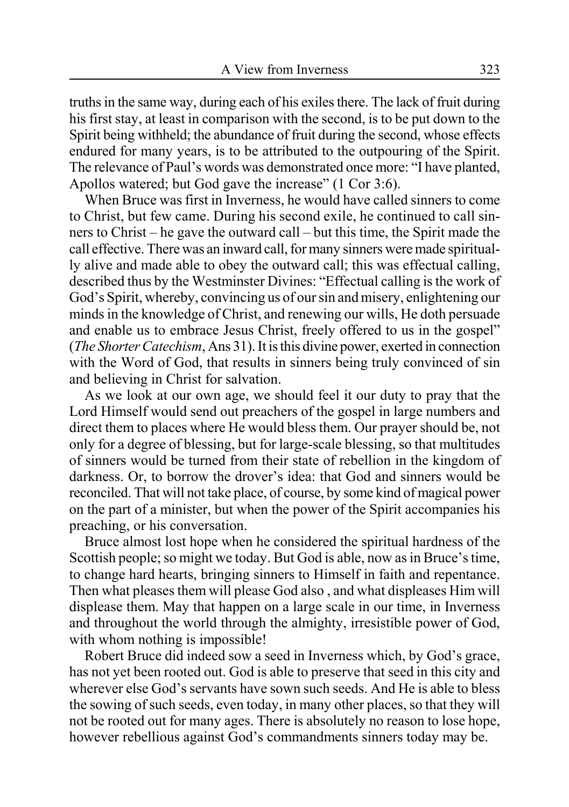truths in the same way, during each of his exiles there. The lack of fruit during his first stay, at least in comparison with the second, is to be put down to the Spirit being withheld; the abundance of fruit during the second, whose effects endured for many years, is to be attributed to the outpouring of the Spirit. The relevance of Paul's words was demonstrated once more: "I have planted, Apollos watered; but God gave the increase" (1 Cor 3:6).

When Bruce was first in Inverness, he would have called sinners to come to Christ, but few came. During his second exile, he continued to call sinners to Christ – he gave the outward call – but this time, the Spirit made the call effective. There was an inward call, for many sinners were made spiritually alive and made able to obey the outward call; this was effectual calling, described thus by the Westminster Divines: "Effectual calling is the work of God's Spirit, whereby, convincing us of our sin and misery, enlightening our minds in the knowledge of Christ, and renewing our wills, He doth persuade and enable us to embrace Jesus Christ, freely offered to us in the gospel" (*The Shorter Catechism*, Ans 31). It is this divine power, exerted in connection with the Word of God, that results in sinners being truly convinced of sin and believing in Christ for salvation.

As we look at our own age, we should feel it our duty to pray that the Lord Himself would send out preachers of the gospel in large numbers and direct them to places where He would bless them. Our prayer should be, not only for a degree of blessing, but for large-scale blessing, so that multitudes of sinners would be turned from their state of rebellion in the kingdom of darkness. Or, to borrow the drover's idea: that God and sinners would be reconciled. That will not take place, of course, by some kind of magical power on the part of a minister, but when the power of the Spirit accompanies his preaching, or his conversation.

Bruce almost lost hope when he considered the spiritual hardness of the Scottish people; so might we today. But God is able, now as in Bruce's time, to change hard hearts, bringing sinners to Himself in faith and repentance. Then what pleases them will please God also , and what displeases Him will displease them. May that happen on a large scale in our time, in Inverness and throughout the world through the almighty, irresistible power of God, with whom nothing is impossible!

Robert Bruce did indeed sow a seed in Inverness which, by God's grace, has not yet been rooted out. God is able to preserve that seed in this city and wherever else God's servants have sown such seeds. And He is able to bless the sowing of such seeds, even today, in many other places, so that they will not be rooted out for many ages. There is absolutely no reason to lose hope, however rebellious against God's commandments sinners today may be.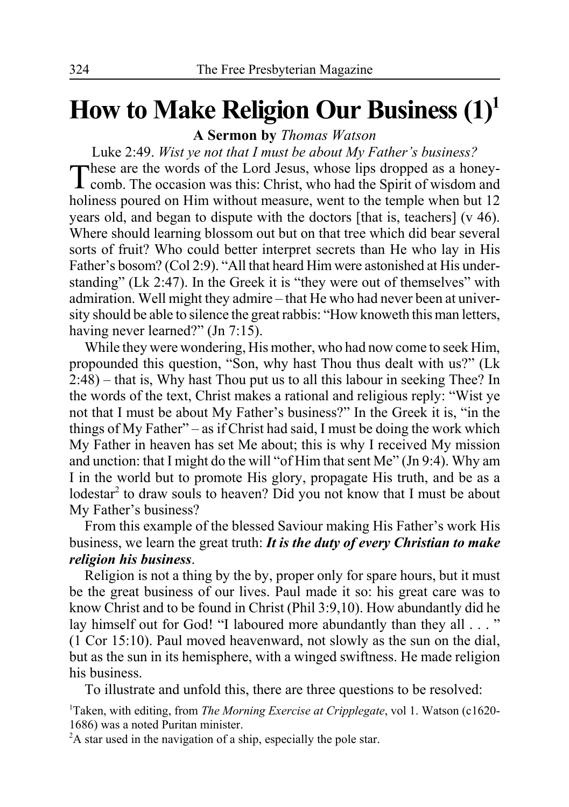## **How to Make Religion Our Business (1)1**

**A Sermon by** *Thomas Watson*

Luke 2:49. *Wist ye not that I must be about My Father's business?* These are the words of the Lord Jesus, whose lips dropped as a honey- $\perp$  comb. The occasion was this: Christ, who had the Spirit of wisdom and holiness poured on Him without measure, went to the temple when but 12 years old, and began to dispute with the doctors [that is, teachers] (v 46). Where should learning blossom out but on that tree which did bear several sorts of fruit? Who could better interpret secrets than He who lay in His Father's bosom? (Col 2:9). "All that heard Him were astonished at His understanding" (Lk 2:47). In the Greek it is "they were out of themselves" with admiration. Well might they admire – that He who had never been at university should be able to silence the great rabbis: "How knoweth this man letters, having never learned?" (Jn 7:15).

While they were wondering, His mother, who had now come to seek Him, propounded this question, "Son, why hast Thou thus dealt with us?" (Lk 2:48) – that is, Why hast Thou put us to all this labour in seeking Thee? In the words of the text, Christ makes a rational and religious reply: "Wist ye not that I must be about My Father's business?" In the Greek it is, "in the things of My Father" – as if Christ had said, I must be doing the work which My Father in heaven has set Me about; this is why I received My mission and unction: that I might do the will "of Him that sent Me" (Jn 9:4). Why am I in the world but to promote His glory, propagate His truth, and be as a lodestar<sup>2</sup> to draw souls to heaven? Did you not know that I must be about My Father's business?

From this example of the blessed Saviour making His Father's work His business, we learn the great truth: *It is the duty of every Christian to make religion his business*.

Religion is not a thing by the by, proper only for spare hours, but it must be the great business of our lives. Paul made it so: his great care was to know Christ and to be found in Christ (Phil 3:9,10). How abundantly did he lay himself out for God! "I laboured more abundantly than they all . . . " (1 Cor 15:10). Paul moved heavenward, not slowly as the sun on the dial, but as the sun in its hemisphere, with a winged swiftness. He made religion his business.

To illustrate and unfold this, there are three questions to be resolved:

<sup>1</sup>Taken, with editing, from *The Morning Exercise at Cripplegate*, vol 1. Watson (c1620-1686) was a noted Puritan minister.

<sup>2</sup>A star used in the navigation of a ship, especially the pole star.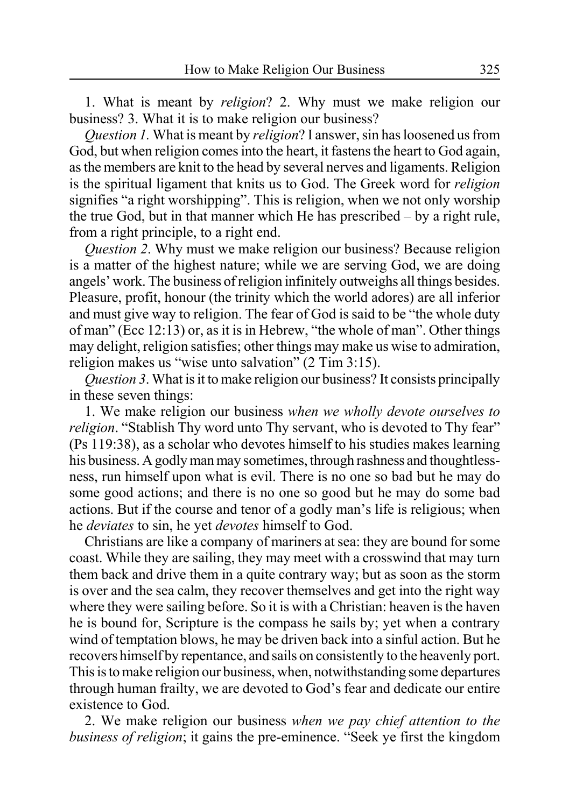1. What is meant by *religion*? 2. Why must we make religion our business? 3. What it is to make religion our business?

*Question 1.* What is meant by *religion*? I answer, sin has loosened us from God, but when religion comes into the heart, it fastens the heart to God again, as the members are knit to the head by several nerves and ligaments. Religion is the spiritual ligament that knits us to God. The Greek word for *religion* signifies "a right worshipping". This is religion, when we not only worship the true God, but in that manner which He has prescribed – by a right rule, from a right principle, to a right end.

*Question 2*. Why must we make religion our business? Because religion is a matter of the highest nature; while we are serving God, we are doing angels' work. The business of religion infinitely outweighs all things besides. Pleasure, profit, honour (the trinity which the world adores) are all inferior and must give way to religion. The fear of God is said to be "the whole duty of man" (Ecc 12:13) or, as it is in Hebrew, "the whole of man". Other things may delight, religion satisfies; other things may make us wise to admiration, religion makes us "wise unto salvation" (2 Tim 3:15).

*Question 3*. What is it to make religion our business? It consists principally in these seven things:

1. We make religion our business *when we wholly devote ourselves to religion*. "Stablish Thy word unto Thy servant, who is devoted to Thy fear" (Ps 119:38), as a scholar who devotes himself to his studies makes learning his business. A godly man may sometimes, through rashness and thoughtlessness, run himself upon what is evil. There is no one so bad but he may do some good actions; and there is no one so good but he may do some bad actions. But if the course and tenor of a godly man's life is religious; when he *deviates* to sin, he yet *devotes* himself to God.

Christians are like a company of mariners at sea: they are bound for some coast. While they are sailing, they may meet with a crosswind that may turn them back and drive them in a quite contrary way; but as soon as the storm is over and the sea calm, they recover themselves and get into the right way where they were sailing before. So it is with a Christian: heaven is the haven he is bound for, Scripture is the compass he sails by; yet when a contrary wind of temptation blows, he may be driven back into a sinful action. But he recovers himself by repentance, and sails on consistently to the heavenly port. This is to make religion our business, when, notwithstanding some departures through human frailty, we are devoted to God's fear and dedicate our entire existence to God.

2. We make religion our business *when we pay chief attention to the business of religion*; it gains the pre-eminence. "Seek ye first the kingdom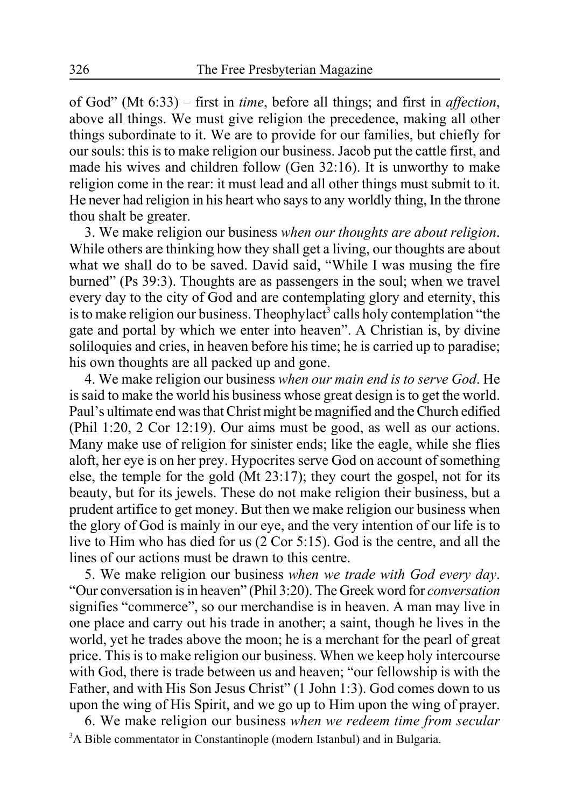of God" (Mt 6:33) – first in *time*, before all things; and first in *affection*, above all things. We must give religion the precedence, making all other things subordinate to it. We are to provide for our families, but chiefly for our souls: this is to make religion our business. Jacob put the cattle first, and made his wives and children follow (Gen 32:16). It is unworthy to make religion come in the rear: it must lead and all other things must submit to it. He never had religion in his heart who says to any worldly thing, In the throne thou shalt be greater.

3. We make religion our business *when our thoughts are about religion*. While others are thinking how they shall get a living, our thoughts are about what we shall do to be saved. David said, "While I was musing the fire burned" (Ps 39:3). Thoughts are as passengers in the soul; when we travel every day to the city of God and are contemplating glory and eternity, this is to make religion our business. Theophylact<sup>3</sup> calls holy contemplation "the gate and portal by which we enter into heaven". A Christian is, by divine soliloquies and cries, in heaven before his time; he is carried up to paradise; his own thoughts are all packed up and gone.

4. We make religion our business *when our main end is to serve God*. He is said to make the world his business whose great design is to get the world. Paul's ultimate end was that Christ might be magnified and the Church edified (Phil 1:20, 2 Cor 12:19). Our aims must be good, as well as our actions. Many make use of religion for sinister ends; like the eagle, while she flies aloft, her eye is on her prey. Hypocrites serve God on account of something else, the temple for the gold (Mt 23:17); they court the gospel, not for its beauty, but for its jewels. These do not make religion their business, but a prudent artifice to get money. But then we make religion our business when the glory of God is mainly in our eye, and the very intention of our life is to live to Him who has died for us (2 Cor 5:15). God is the centre, and all the lines of our actions must be drawn to this centre.

5. We make religion our business *when we trade with God every day*. "Our conversation is in heaven" (Phil 3:20). The Greek word for *conversation* signifies "commerce", so our merchandise is in heaven. A man may live in one place and carry out his trade in another; a saint, though he lives in the world, yet he trades above the moon; he is a merchant for the pearl of great price. This is to make religion our business. When we keep holy intercourse with God, there is trade between us and heaven; "our fellowship is with the Father, and with His Son Jesus Christ" (1 John 1:3). God comes down to us upon the wing of His Spirit, and we go up to Him upon the wing of prayer.

6. We make religion our business *when we redeem time from secular* <sup>3</sup>A Bible commentator in Constantinople (modern Istanbul) and in Bulgaria.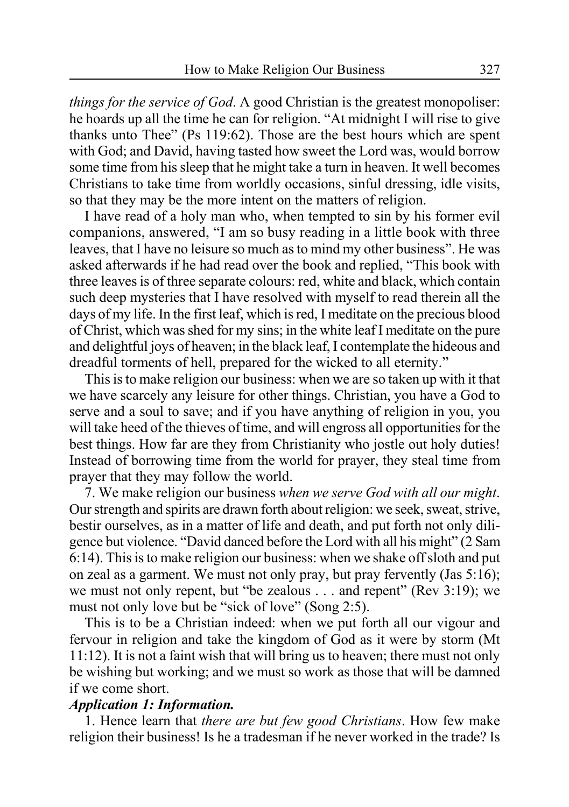*things for the service of God*. A good Christian is the greatest monopoliser: he hoards up all the time he can for religion. "At midnight I will rise to give thanks unto Thee" (Ps 119:62). Those are the best hours which are spent with God; and David, having tasted how sweet the Lord was, would borrow some time from his sleep that he might take a turn in heaven. It well becomes Christians to take time from worldly occasions, sinful dressing, idle visits, so that they may be the more intent on the matters of religion.

I have read of a holy man who, when tempted to sin by his former evil companions, answered, "I am so busy reading in a little book with three leaves, that I have no leisure so much as to mind my other business". He was asked afterwards if he had read over the book and replied, "This book with three leaves is of three separate colours: red, white and black, which contain such deep mysteries that I have resolved with myself to read therein all the days of my life. In the first leaf, which is red, I meditate on the precious blood of Christ, which was shed for my sins; in the white leaf I meditate on the pure and delightful joys of heaven; in the black leaf, I contemplate the hideous and dreadful torments of hell, prepared for the wicked to all eternity."

This is to make religion our business: when we are so taken up with it that we have scarcely any leisure for other things. Christian, you have a God to serve and a soul to save; and if you have anything of religion in you, you will take heed of the thieves of time, and will engross all opportunities for the best things. How far are they from Christianity who jostle out holy duties! Instead of borrowing time from the world for prayer, they steal time from prayer that they may follow the world.

7. We make religion our business *when we serve God with all our might*. Our strength and spirits are drawn forth about religion: we seek, sweat, strive, bestir ourselves, as in a matter of life and death, and put forth not only diligence but violence. "David danced before the Lord with all his might" (2 Sam 6:14). This is to make religion our business: when we shake off sloth and put on zeal as a garment. We must not only pray, but pray fervently (Jas 5:16); we must not only repent, but "be zealous . . . and repent" (Rev 3:19); we must not only love but be "sick of love" (Song 2:5).

This is to be a Christian indeed: when we put forth all our vigour and fervour in religion and take the kingdom of God as it were by storm (Mt 11:12). It is not a faint wish that will bring us to heaven; there must not only be wishing but working; and we must so work as those that will be damned if we come short.

#### *Application 1: Information.*

1. Hence learn that *there are but few good Christians*. How few make religion their business! Is he a tradesman if he never worked in the trade? Is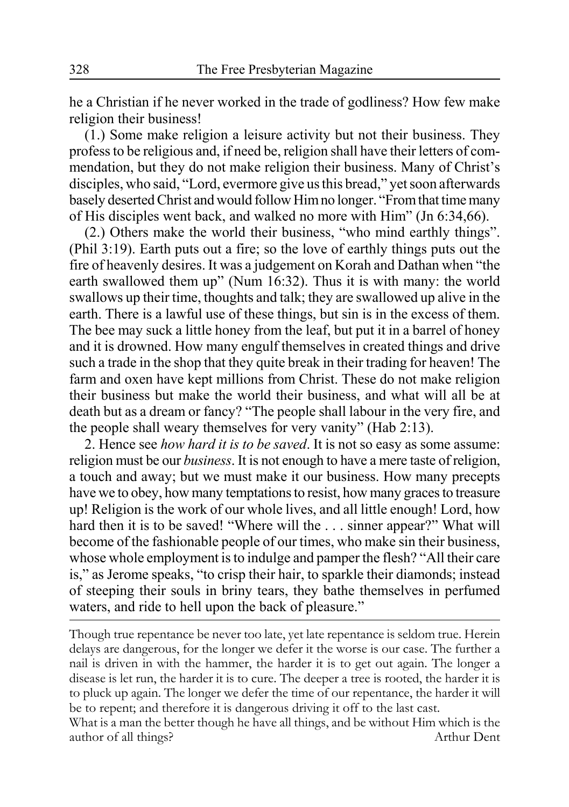he a Christian if he never worked in the trade of godliness? How few make religion their business!

(1.) Some make religion a leisure activity but not their business. They profess to be religious and, if need be, religion shall have their letters of commendation, but they do not make religion their business. Many of Christ's disciples, who said, "Lord, evermore give us this bread," yet soon afterwards basely deserted Christ and would follow Him no longer. "From that time many of His disciples went back, and walked no more with Him" (Jn 6:34,66).

(2.) Others make the world their business, "who mind earthly things". (Phil 3:19). Earth puts out a fire; so the love of earthly things puts out the fire of heavenly desires. It was a judgement on Korah and Dathan when "the earth swallowed them up" (Num 16:32). Thus it is with many: the world swallows up their time, thoughts and talk; they are swallowed up alive in the earth. There is a lawful use of these things, but sin is in the excess of them. The bee may suck a little honey from the leaf, but put it in a barrel of honey and it is drowned. How many engulf themselves in created things and drive such a trade in the shop that they quite break in their trading for heaven! The farm and oxen have kept millions from Christ. These do not make religion their business but make the world their business, and what will all be at death but as a dream or fancy? "The people shall labour in the very fire, and the people shall weary themselves for very vanity" (Hab 2:13).

2. Hence see *how hard it is to be saved*. It is not so easy as some assume: religion must be our *business*. It is not enough to have a mere taste of religion, a touch and away; but we must make it our business. How many precepts have we to obey, how many temptations to resist, how many graces to treasure up! Religion is the work of our whole lives, and all little enough! Lord, how hard then it is to be saved! "Where will the . . . sinner appear?" What will become of the fashionable people of our times, who make sin their business, whose whole employment is to indulge and pamper the flesh? "All their care is," as Jerome speaks, "to crisp their hair, to sparkle their diamonds; instead of steeping their souls in briny tears, they bathe themselves in perfumed waters, and ride to hell upon the back of pleasure."

Though true repentance be never too late, yet late repentance is seldom true. Herein delays are dangerous, for the longer we defer it the worse is our case. The further a nail is driven in with the hammer, the harder it is to get out again. The longer a disease is let run, the harder it is to cure. The deeper a tree is rooted, the harder it is to pluck up again. The longer we defer the time of our repentance, the harder it will be to repent; and therefore it is dangerous driving it off to the last cast.

What is a man the better though he have all things, and be without Him which is the author of all things? Arthur Dent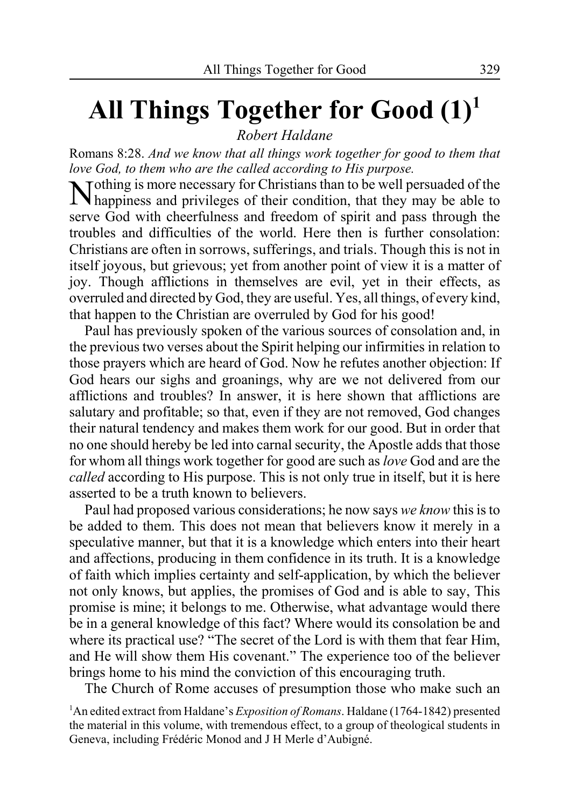## **All Things Together for Good (1)1**

*Robert Haldane*

Romans 8:28. *And we know that all things work together for good to them that love God, to them who are the called according to His purpose.*

Nothing is more necessary for Christians than to be well persuaded of the happiness and privileges of their condition, that they may be able to serve God with cheerfulness and freedom of spirit and pass through the troubles and difficulties of the world. Here then is further consolation: Christians are often in sorrows, sufferings, and trials. Though this is not in itself joyous, but grievous; yet from another point of view it is a matter of joy. Though afflictions in themselves are evil, yet in their effects, as overruled and directed by God, they are useful. Yes, all things, of every kind, that happen to the Christian are overruled by God for his good!

Paul has previously spoken of the various sources of consolation and, in the previous two verses about the Spirit helping our infirmities in relation to those prayers which are heard of God. Now he refutes another objection: If God hears our sighs and groanings, why are we not delivered from our afflictions and troubles? In answer, it is here shown that afflictions are salutary and profitable; so that, even if they are not removed, God changes their natural tendency and makes them work for our good. But in order that no one should hereby be led into carnal security, the Apostle adds that those for whom all things work together for good are such as *love* God and are the *called* according to His purpose. This is not only true in itself, but it is here asserted to be a truth known to believers.

Paul had proposed various considerations; he now says *we know* this is to be added to them. This does not mean that believers know it merely in a speculative manner, but that it is a knowledge which enters into their heart and affections, producing in them confidence in its truth. It is a knowledge of faith which implies certainty and self-application, by which the believer not only knows, but applies, the promises of God and is able to say, This promise is mine; it belongs to me. Otherwise, what advantage would there be in a general knowledge of this fact? Where would its consolation be and where its practical use? "The secret of the Lord is with them that fear Him, and He will show them His covenant." The experience too of the believer brings home to his mind the conviction of this encouraging truth.

The Church of Rome accuses of presumption those who make such an

<sup>1</sup>An edited extract from Haldane's *Exposition of Romans*. Haldane (1764-1842) presented the material in this volume, with tremendous effect, to a group of theological students in Geneva, including Frédéric Monod and J H Merle d'Aubigné.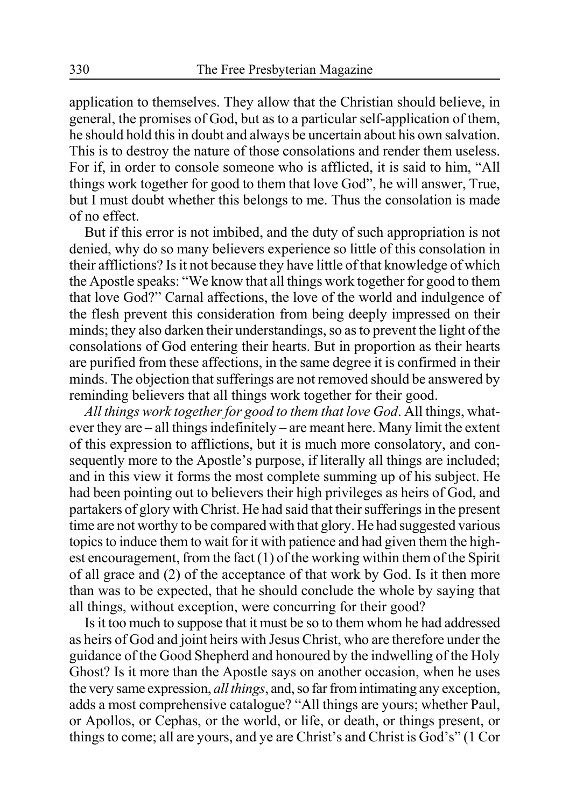application to themselves. They allow that the Christian should believe, in general, the promises of God, but as to a particular self-application of them, he should hold this in doubt and always be uncertain about his own salvation. This is to destroy the nature of those consolations and render them useless. For if, in order to console someone who is afflicted, it is said to him, "All things work together for good to them that love God", he will answer, True, but I must doubt whether this belongs to me. Thus the consolation is made of no effect.

But if this error is not imbibed, and the duty of such appropriation is not denied, why do so many believers experience so little of this consolation in their afflictions? Is it not because they have little of that knowledge of which the Apostle speaks: "We know that all things work together for good to them that love God?" Carnal affections, the love of the world and indulgence of the flesh prevent this consideration from being deeply impressed on their minds; they also darken their understandings, so as to prevent the light of the consolations of God entering their hearts. But in proportion as their hearts are purified from these affections, in the same degree it is confirmed in their minds. The objection that sufferings are not removed should be answered by reminding believers that all things work together for their good.

*All things work together for good to them that love God*. All things, whatever they are – all things indefinitely – are meant here. Many limit the extent of this expression to afflictions, but it is much more consolatory, and consequently more to the Apostle's purpose, if literally all things are included; and in this view it forms the most complete summing up of his subject. He had been pointing out to believers their high privileges as heirs of God, and partakers of glory with Christ. He had said that their sufferings in the present time are not worthy to be compared with that glory. He had suggested various topics to induce them to wait for it with patience and had given them the highest encouragement, from the fact (1) of the working within them of the Spirit of all grace and (2) of the acceptance of that work by God. Is it then more than was to be expected, that he should conclude the whole by saying that all things, without exception, were concurring for their good?

Is it too much to suppose that it must be so to them whom he had addressed as heirs of God and joint heirs with Jesus Christ, who are therefore under the guidance of the Good Shepherd and honoured by the indwelling of the Holy Ghost? Is it more than the Apostle says on another occasion, when he uses the very same expression, *all things*, and, so far from intimating any exception, adds a most comprehensive catalogue? "All things are yours; whether Paul, or Apollos, or Cephas, or the world, or life, or death, or things present, or things to come; all are yours, and ye are Christ's and Christ is God's" (1 Cor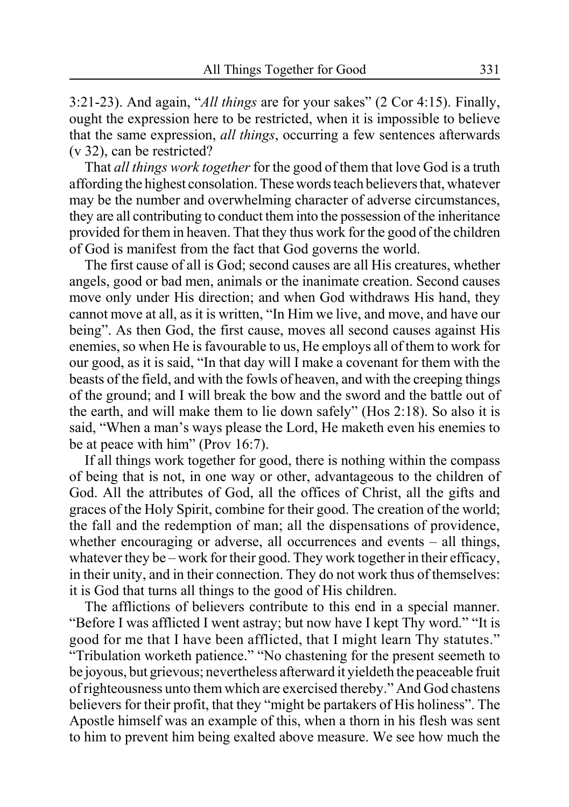3:21-23). And again, "*All things* are for your sakes" (2 Cor 4:15). Finally, ought the expression here to be restricted, when it is impossible to believe that the same expression, *all things*, occurring a few sentences afterwards (v 32), can be restricted?

That *all things work together* for the good of them that love God is a truth affording the highest consolation. These words teach believers that, whatever may be the number and overwhelming character of adverse circumstances, they are all contributing to conduct them into the possession of the inheritance provided for them in heaven. That they thus work for the good of the children of God is manifest from the fact that God governs the world.

The first cause of all is God; second causes are all His creatures, whether angels, good or bad men, animals or the inanimate creation. Second causes move only under His direction; and when God withdraws His hand, they cannot move at all, as it is written, "In Him we live, and move, and have our being". As then God, the first cause, moves all second causes against His enemies, so when He is favourable to us, He employs all of them to work for our good, as it is said, "In that day will I make a covenant for them with the beasts of the field, and with the fowls of heaven, and with the creeping things of the ground; and I will break the bow and the sword and the battle out of the earth, and will make them to lie down safely" (Hos 2:18). So also it is said, "When a man's ways please the Lord, He maketh even his enemies to be at peace with him" (Prov 16:7).

If all things work together for good, there is nothing within the compass of being that is not, in one way or other, advantageous to the children of God. All the attributes of God, all the offices of Christ, all the gifts and graces of the Holy Spirit, combine for their good. The creation of the world; the fall and the redemption of man; all the dispensations of providence, whether encouraging or adverse, all occurrences and events – all things, whatever they be – work for their good. They work together in their efficacy, in their unity, and in their connection. They do not work thus of themselves: it is God that turns all things to the good of His children.

The afflictions of believers contribute to this end in a special manner. "Before I was afflicted I went astray; but now have I kept Thy word." "It is good for me that I have been afflicted, that I might learn Thy statutes." "Tribulation worketh patience." "No chastening for the present seemeth to be joyous, but grievous; nevertheless afterward it yieldeth the peaceable fruit of righteousness unto them which are exercised thereby." And God chastens believers for their profit, that they "might be partakers of His holiness". The Apostle himself was an example of this, when a thorn in his flesh was sent to him to prevent him being exalted above measure. We see how much the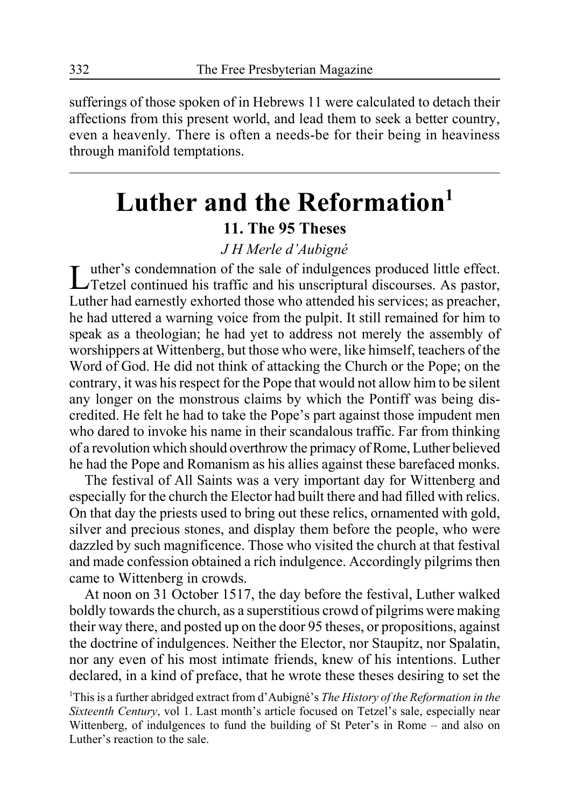sufferings of those spoken of in Hebrews 11 were calculated to detach their affections from this present world, and lead them to seek a better country, even a heavenly. There is often a needs-be for their being in heaviness through manifold temptations.

## **Luther and the Reformation1**

### **11. The 95 Theses**

### *J H Merle d'Aubigné*

Luther's condemnation of the sale of indulgences produced little effect. Tetzel continued his traffic and his unscriptural discourses. As pastor, Luther had earnestly exhorted those who attended his services; as preacher, he had uttered a warning voice from the pulpit. It still remained for him to speak as a theologian; he had yet to address not merely the assembly of worshippers at Wittenberg, but those who were, like himself, teachers of the Word of God. He did not think of attacking the Church or the Pope; on the contrary, it was his respect for the Pope that would not allow him to be silent any longer on the monstrous claims by which the Pontiff was being discredited. He felt he had to take the Pope's part against those impudent men who dared to invoke his name in their scandalous traffic. Far from thinking of a revolution which should overthrow the primacy of Rome, Luther believed he had the Pope and Romanism as his allies against these barefaced monks.

The festival of All Saints was a very important day for Wittenberg and especially for the church the Elector had built there and had filled with relics. On that day the priests used to bring out these relics, ornamented with gold, silver and precious stones, and display them before the people, who were dazzled by such magnificence. Those who visited the church at that festival and made confession obtained a rich indulgence. Accordingly pilgrims then came to Wittenberg in crowds.

At noon on 31 October 1517, the day before the festival, Luther walked boldly towards the church, as a superstitious crowd of pilgrims were making their way there, and posted up on the door 95 theses, or propositions, against the doctrine of indulgences. Neither the Elector, nor Staupitz, nor Spalatin, nor any even of his most intimate friends, knew of his intentions. Luther declared, in a kind of preface, that he wrote these theses desiring to set the

1 This is a further abridged extract from d'Aubigné's *The History of the Reformation in the Sixteenth Century*, vol 1. Last month's article focused on Tetzel's sale, especially near Wittenberg, of indulgences to fund the building of St Peter's in Rome – and also on Luther's reaction to the sale.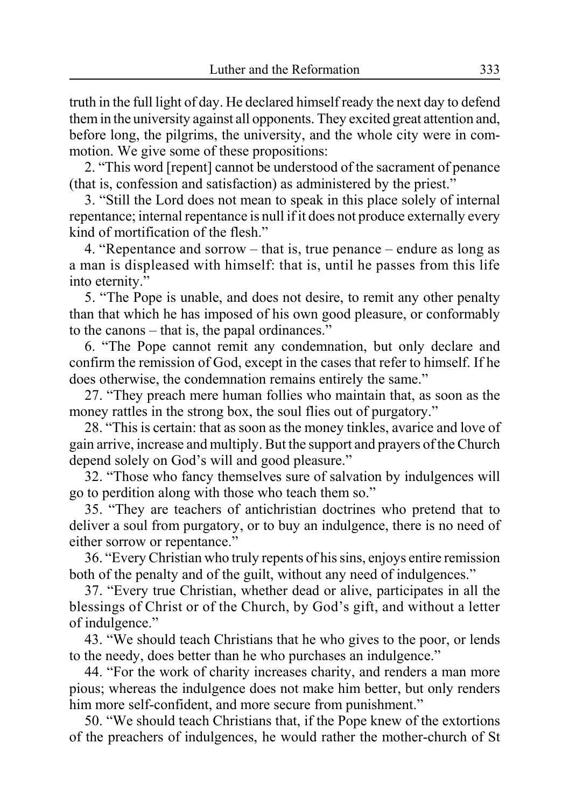truth in the full light of day. He declared himself ready the next day to defend them in the university against all opponents. They excited great attention and, before long, the pilgrims, the university, and the whole city were in commotion. We give some of these propositions:

2. "This word [repent] cannot be understood of the sacrament of penance (that is, confession and satisfaction) as administered by the priest."

3. "Still the Lord does not mean to speak in this place solely of internal repentance; internal repentance is null if it does not produce externally every kind of mortification of the flesh."

4. "Repentance and sorrow – that is, true penance – endure as long as a man is displeased with himself: that is, until he passes from this life into eternity."

5. "The Pope is unable, and does not desire, to remit any other penalty than that which he has imposed of his own good pleasure, or conformably to the canons – that is, the papal ordinances."

6. "The Pope cannot remit any condemnation, but only declare and confirm the remission of God, except in the cases that refer to himself. If he does otherwise, the condemnation remains entirely the same."

27. "They preach mere human follies who maintain that, as soon as the money rattles in the strong box, the soul flies out of purgatory."

28. "This is certain: that as soon as the money tinkles, avarice and love of gain arrive, increase and multiply. But the support and prayers of the Church depend solely on God's will and good pleasure."

32. "Those who fancy themselves sure of salvation by indulgences will go to perdition along with those who teach them so."

35. "They are teachers of antichristian doctrines who pretend that to deliver a soul from purgatory, or to buy an indulgence, there is no need of either sorrow or repentance."

36. "Every Christian who truly repents of his sins, enjoys entire remission both of the penalty and of the guilt, without any need of indulgences."

37. "Every true Christian, whether dead or alive, participates in all the blessings of Christ or of the Church, by God's gift, and without a letter of indulgence."

43. "We should teach Christians that he who gives to the poor, or lends to the needy, does better than he who purchases an indulgence."

44. "For the work of charity increases charity, and renders a man more pious; whereas the indulgence does not make him better, but only renders him more self-confident, and more secure from punishment."

50. "We should teach Christians that, if the Pope knew of the extortions of the preachers of indulgences, he would rather the mother-church of St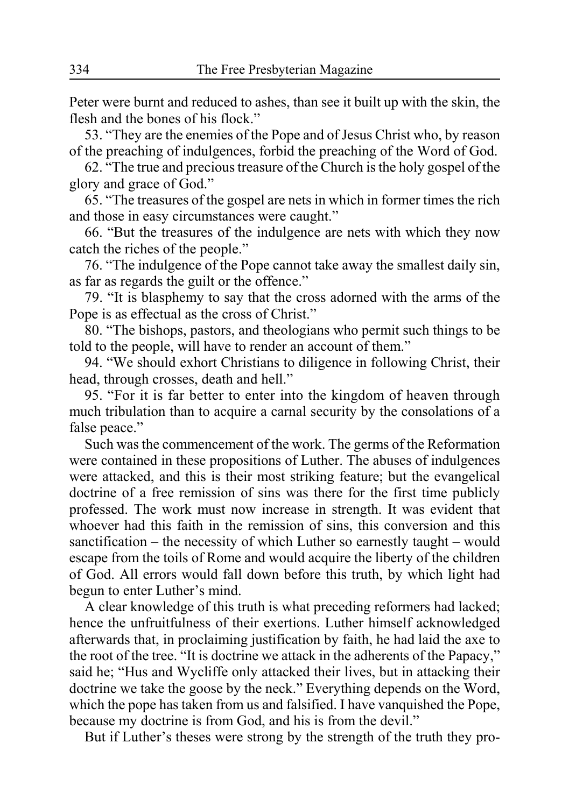Peter were burnt and reduced to ashes, than see it built up with the skin, the flesh and the bones of his flock."

53. "They are the enemies of the Pope and of Jesus Christ who, by reason of the preaching of indulgences, forbid the preaching of the Word of God.

62. "The true and precious treasure of the Church is the holy gospel of the glory and grace of God."

65. "The treasures of the gospel are nets in which in former times the rich and those in easy circumstances were caught."

66. "But the treasures of the indulgence are nets with which they now catch the riches of the people."

76. "The indulgence of the Pope cannot take away the smallest daily sin, as far as regards the guilt or the offence."

79. "It is blasphemy to say that the cross adorned with the arms of the Pope is as effectual as the cross of Christ."

80. "The bishops, pastors, and theologians who permit such things to be told to the people, will have to render an account of them."

94. "We should exhort Christians to diligence in following Christ, their head, through crosses, death and hell."

95. "For it is far better to enter into the kingdom of heaven through much tribulation than to acquire a carnal security by the consolations of a false peace."

Such was the commencement of the work. The germs of the Reformation were contained in these propositions of Luther. The abuses of indulgences were attacked, and this is their most striking feature; but the evangelical doctrine of a free remission of sins was there for the first time publicly professed. The work must now increase in strength. It was evident that whoever had this faith in the remission of sins, this conversion and this sanctification – the necessity of which Luther so earnestly taught – would escape from the toils of Rome and would acquire the liberty of the children of God. All errors would fall down before this truth, by which light had begun to enter Luther's mind.

A clear knowledge of this truth is what preceding reformers had lacked; hence the unfruitfulness of their exertions. Luther himself acknowledged afterwards that, in proclaiming justification by faith, he had laid the axe to the root of the tree. "It is doctrine we attack in the adherents of the Papacy," said he; "Hus and Wycliffe only attacked their lives, but in attacking their doctrine we take the goose by the neck." Everything depends on the Word, which the pope has taken from us and falsified. I have vanquished the Pope, because my doctrine is from God, and his is from the devil."

But if Luther's theses were strong by the strength of the truth they pro-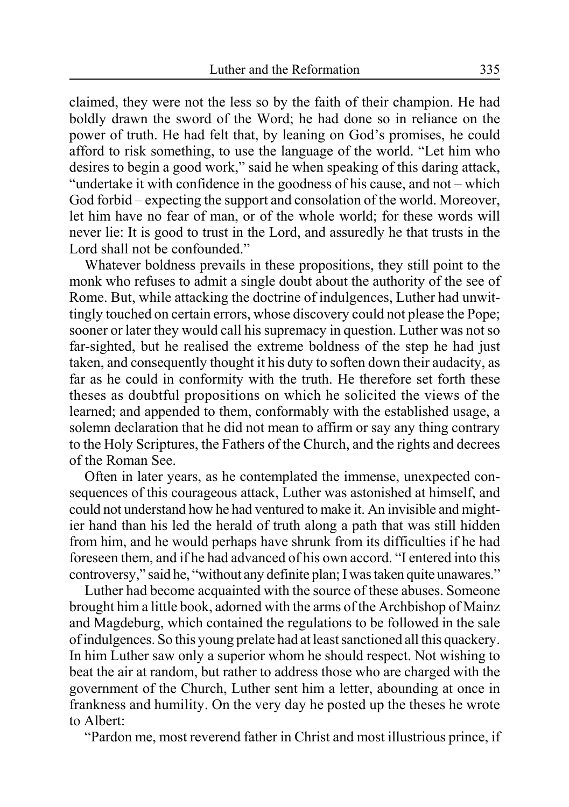claimed, they were not the less so by the faith of their champion. He had boldly drawn the sword of the Word; he had done so in reliance on the power of truth. He had felt that, by leaning on God's promises, he could afford to risk something, to use the language of the world. "Let him who desires to begin a good work," said he when speaking of this daring attack, "undertake it with confidence in the goodness of his cause, and not – which God forbid – expecting the support and consolation of the world. Moreover, let him have no fear of man, or of the whole world; for these words will never lie: It is good to trust in the Lord, and assuredly he that trusts in the Lord shall not be confounded."

Whatever boldness prevails in these propositions, they still point to the monk who refuses to admit a single doubt about the authority of the see of Rome. But, while attacking the doctrine of indulgences, Luther had unwittingly touched on certain errors, whose discovery could not please the Pope; sooner or later they would call his supremacy in question. Luther was not so far-sighted, but he realised the extreme boldness of the step he had just taken, and consequently thought it his duty to soften down their audacity, as far as he could in conformity with the truth. He therefore set forth these theses as doubtful propositions on which he solicited the views of the learned; and appended to them, conformably with the established usage, a solemn declaration that he did not mean to affirm or say any thing contrary to the Holy Scriptures, the Fathers of the Church, and the rights and decrees of the Roman See.

Often in later years, as he contemplated the immense, unexpected consequences of this courageous attack, Luther was astonished at himself, and could not understand how he had ventured to make it. An invisible and mightier hand than his led the herald of truth along a path that was still hidden from him, and he would perhaps have shrunk from its difficulties if he had foreseen them, and if he had advanced of his own accord. "I entered into this controversy," said he, "without any definite plan; I was taken quite unawares."

Luther had become acquainted with the source of these abuses. Someone brought him a little book, adorned with the arms of the Archbishop of Mainz and Magdeburg, which contained the regulations to be followed in the sale of indulgences. So this young prelate had at least sanctioned all this quackery. In him Luther saw only a superior whom he should respect. Not wishing to beat the air at random, but rather to address those who are charged with the government of the Church, Luther sent him a letter, abounding at once in frankness and humility. On the very day he posted up the theses he wrote to Albert:

"Pardon me, most reverend father in Christ and most illustrious prince, if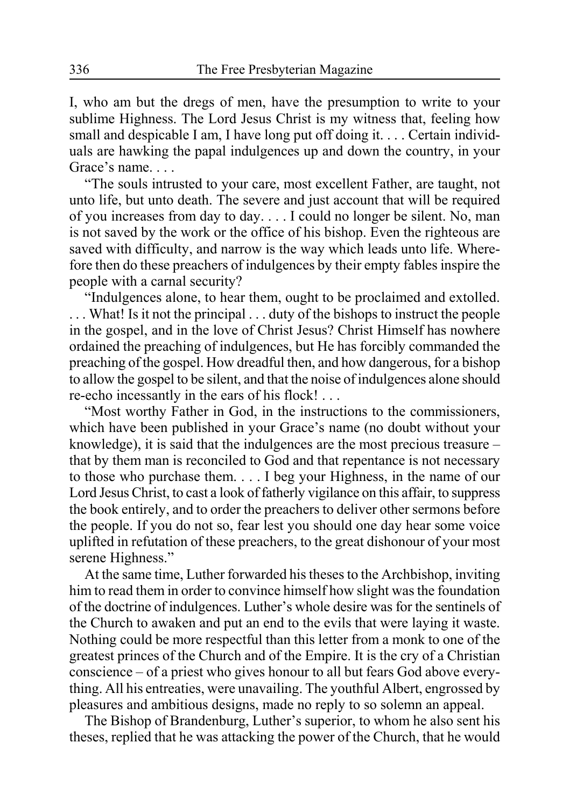I, who am but the dregs of men, have the presumption to write to your sublime Highness. The Lord Jesus Christ is my witness that, feeling how small and despicable I am, I have long put off doing it. . . . Certain individuals are hawking the papal indulgences up and down the country, in your Grace's name. . . .

"The souls intrusted to your care, most excellent Father, are taught, not unto life, but unto death. The severe and just account that will be required of you increases from day to day. . . . I could no longer be silent. No, man is not saved by the work or the office of his bishop. Even the righteous are saved with difficulty, and narrow is the way which leads unto life. Wherefore then do these preachers of indulgences by their empty fables inspire the people with a carnal security?

"Indulgences alone, to hear them, ought to be proclaimed and extolled. . . . What! Is it not the principal . . . duty of the bishops to instruct the people in the gospel, and in the love of Christ Jesus? Christ Himself has nowhere ordained the preaching of indulgences, but He has forcibly commanded the preaching of the gospel. How dreadful then, and how dangerous, for a bishop to allow the gospel to be silent, and that the noise of indulgences alone should re-echo incessantly in the ears of his flock! . . .

"Most worthy Father in God, in the instructions to the commissioners, which have been published in your Grace's name (no doubt without your knowledge), it is said that the indulgences are the most precious treasure – that by them man is reconciled to God and that repentance is not necessary to those who purchase them. . . . I beg your Highness, in the name of our Lord Jesus Christ, to cast a look of fatherly vigilance on this affair, to suppress the book entirely, and to order the preachers to deliver other sermons before the people. If you do not so, fear lest you should one day hear some voice uplifted in refutation of these preachers, to the great dishonour of your most serene Highness."

At the same time, Luther forwarded his theses to the Archbishop, inviting him to read them in order to convince himself how slight was the foundation of the doctrine of indulgences. Luther's whole desire was for the sentinels of the Church to awaken and put an end to the evils that were laying it waste. Nothing could be more respectful than this letter from a monk to one of the greatest princes of the Church and of the Empire. It is the cry of a Christian conscience – of a priest who gives honour to all but fears God above everything. All his entreaties, were unavailing. The youthful Albert, engrossed by pleasures and ambitious designs, made no reply to so solemn an appeal.

The Bishop of Brandenburg, Luther's superior, to whom he also sent his theses, replied that he was attacking the power of the Church, that he would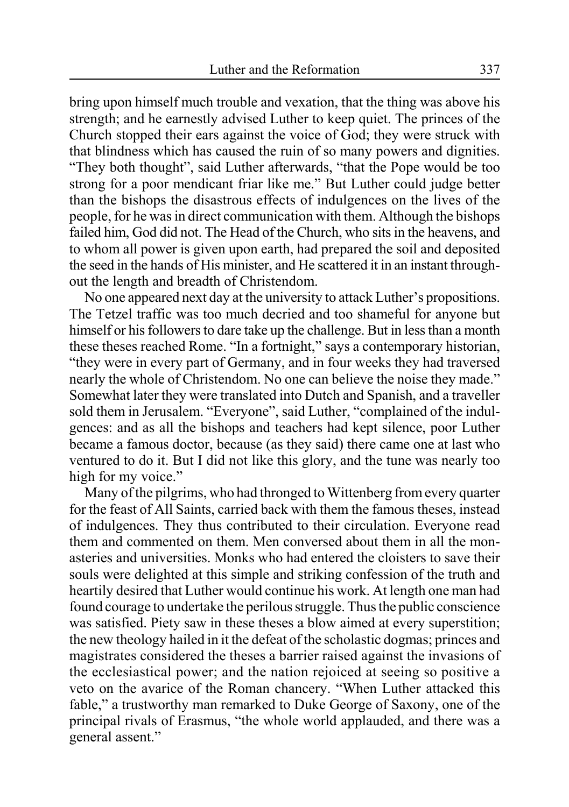bring upon himself much trouble and vexation, that the thing was above his strength; and he earnestly advised Luther to keep quiet. The princes of the Church stopped their ears against the voice of God; they were struck with that blindness which has caused the ruin of so many powers and dignities. "They both thought", said Luther afterwards, "that the Pope would be too strong for a poor mendicant friar like me." But Luther could judge better than the bishops the disastrous effects of indulgences on the lives of the people, for he was in direct communication with them. Although the bishops failed him, God did not. The Head of the Church, who sits in the heavens, and to whom all power is given upon earth, had prepared the soil and deposited the seed in the hands of His minister, and He scattered it in an instant throughout the length and breadth of Christendom.

No one appeared next day at the university to attack Luther's propositions. The Tetzel traffic was too much decried and too shameful for anyone but himself or his followers to dare take up the challenge. But in less than a month these theses reached Rome. "In a fortnight," says a contemporary historian, "they were in every part of Germany, and in four weeks they had traversed nearly the whole of Christendom. No one can believe the noise they made." Somewhat later they were translated into Dutch and Spanish, and a traveller sold them in Jerusalem. "Everyone", said Luther, "complained of the indulgences: and as all the bishops and teachers had kept silence, poor Luther became a famous doctor, because (as they said) there came one at last who ventured to do it. But I did not like this glory, and the tune was nearly too high for my voice."

Many of the pilgrims, who had thronged to Wittenberg from every quarter for the feast of All Saints, carried back with them the famous theses, instead of indulgences. They thus contributed to their circulation. Everyone read them and commented on them. Men conversed about them in all the monasteries and universities. Monks who had entered the cloisters to save their souls were delighted at this simple and striking confession of the truth and heartily desired that Luther would continue his work. At length one man had found courage to undertake the perilous struggle. Thus the public conscience was satisfied. Piety saw in these theses a blow aimed at every superstition; the new theology hailed in it the defeat of the scholastic dogmas; princes and magistrates considered the theses a barrier raised against the invasions of the ecclesiastical power; and the nation rejoiced at seeing so positive a veto on the avarice of the Roman chancery. "When Luther attacked this fable," a trustworthy man remarked to Duke George of Saxony, one of the principal rivals of Erasmus, "the whole world applauded, and there was a general assent."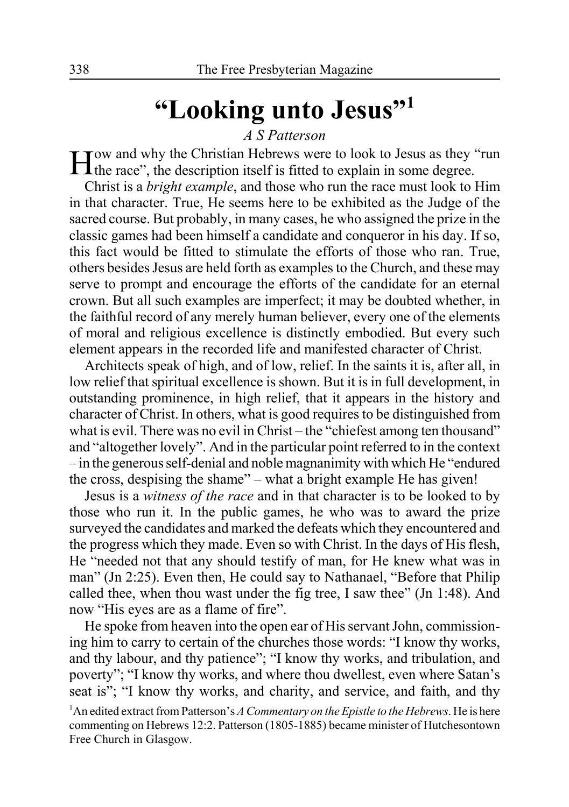## **"Looking unto Jesus"1**

*A S Patterson*

How and why the Christian Hebrews were to look to Jesus as they "run the race", the description itself is fitted to explain in some degree.

Christ is a *bright example*, and those who run the race must look to Him in that character. True, He seems here to be exhibited as the Judge of the sacred course. But probably, in many cases, he who assigned the prize in the classic games had been himself a candidate and conqueror in his day. If so, this fact would be fitted to stimulate the efforts of those who ran. True, others besides Jesus are held forth as examples to the Church, and these may serve to prompt and encourage the efforts of the candidate for an eternal crown. But all such examples are imperfect; it may be doubted whether, in the faithful record of any merely human believer, every one of the elements of moral and religious excellence is distinctly embodied. But every such element appears in the recorded life and manifested character of Christ.

Architects speak of high, and of low, relief. In the saints it is, after all, in low relief that spiritual excellence is shown. But it is in full development, in outstanding prominence, in high relief, that it appears in the history and character of Christ. In others, what is good requires to be distinguished from what is evil. There was no evil in Christ – the "chiefest among ten thousand" and "altogether lovely". And in the particular point referred to in the context – in the generous self-denial and noble magnanimity with which He "endured the cross, despising the shame" – what a bright example He has given!

Jesus is a *witness of the race* and in that character is to be looked to by those who run it. In the public games, he who was to award the prize surveyed the candidates and marked the defeats which they encountered and the progress which they made. Even so with Christ. In the days of His flesh, He "needed not that any should testify of man, for He knew what was in man" (Jn 2:25). Even then, He could say to Nathanael, "Before that Philip called thee, when thou wast under the fig tree, I saw thee" (Jn 1:48). And now "His eyes are as a flame of fire".

He spoke from heaven into the open ear of His servant John, commissioning him to carry to certain of the churches those words: "I know thy works, and thy labour, and thy patience"; "I know thy works, and tribulation, and poverty"; "I know thy works, and where thou dwellest, even where Satan's seat is"; "I know thy works, and charity, and service, and faith, and thy

<sup>1</sup> An edited extract from Patterson's *A Commentary on the Epistle to the Hebrews*. He is here commenting on Hebrews 12:2. Patterson (1805-1885) became minister of Hutchesontown Free Church in Glasgow.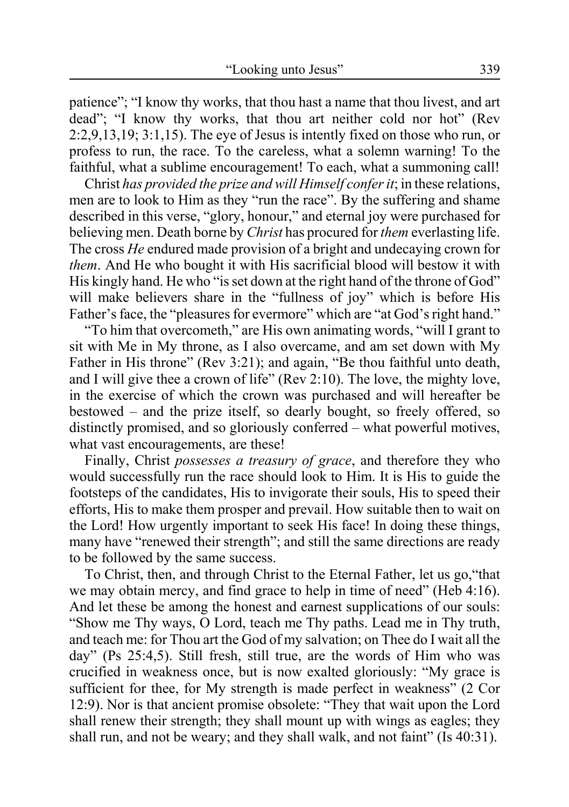patience"; "I know thy works, that thou hast a name that thou livest, and art dead"; "I know thy works, that thou art neither cold nor hot" (Rev 2:2,9,13,19; 3:1,15). The eye of Jesus is intently fixed on those who run, or profess to run, the race. To the careless, what a solemn warning! To the faithful, what a sublime encouragement! To each, what a summoning call!

Christ *has provided the prize and will Himself confer it*; in these relations, men are to look to Him as they "run the race". By the suffering and shame described in this verse, "glory, honour," and eternal joy were purchased for believing men. Death borne by *Christ* has procured for *them* everlasting life. The cross *He* endured made provision of a bright and undecaying crown for *them*. And He who bought it with His sacrificial blood will bestow it with His kingly hand. He who "is set down at the right hand of the throne of God" will make believers share in the "fullness of joy" which is before His Father's face, the "pleasures for evermore" which are "at God's right hand."

"To him that overcometh," are His own animating words, "will I grant to sit with Me in My throne, as I also overcame, and am set down with My Father in His throne" (Rev 3:21); and again, "Be thou faithful unto death, and I will give thee a crown of life" (Rev 2:10). The love, the mighty love, in the exercise of which the crown was purchased and will hereafter be bestowed – and the prize itself, so dearly bought, so freely offered, so distinctly promised, and so gloriously conferred – what powerful motives, what vast encouragements, are these!

Finally, Christ *possesses a treasury of grace*, and therefore they who would successfully run the race should look to Him. It is His to guide the footsteps of the candidates, His to invigorate their souls, His to speed their efforts, His to make them prosper and prevail. How suitable then to wait on the Lord! How urgently important to seek His face! In doing these things, many have "renewed their strength"; and still the same directions are ready to be followed by the same success.

To Christ, then, and through Christ to the Eternal Father, let us go,"that we may obtain mercy, and find grace to help in time of need" (Heb 4:16). And let these be among the honest and earnest supplications of our souls: "Show me Thy ways, O Lord, teach me Thy paths. Lead me in Thy truth, and teach me: for Thou art the God of my salvation; on Thee do I wait all the day" (Ps 25:4,5). Still fresh, still true, are the words of Him who was crucified in weakness once, but is now exalted gloriously: "My grace is sufficient for thee, for My strength is made perfect in weakness" (2 Cor 12:9). Nor is that ancient promise obsolete: "They that wait upon the Lord shall renew their strength; they shall mount up with wings as eagles; they shall run, and not be weary; and they shall walk, and not faint" (Is 40:31).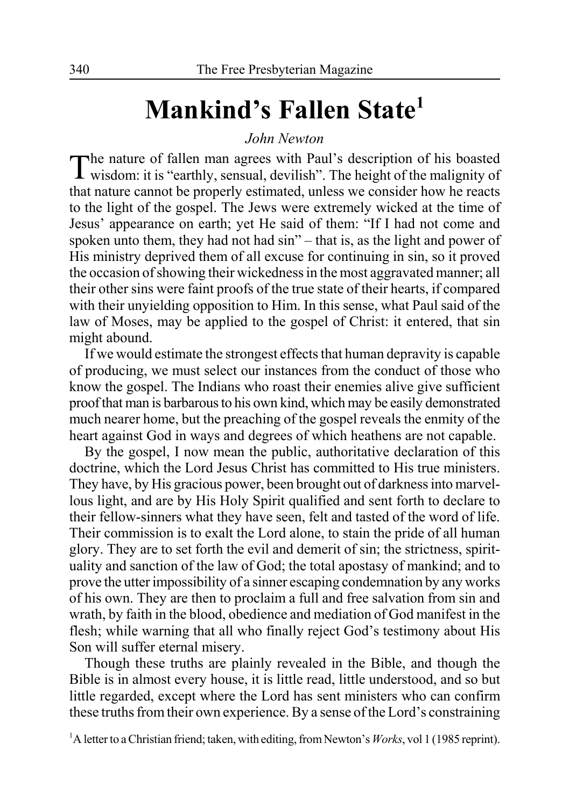## **Mankind's Fallen State1**

*John Newton*

The nature of fallen man agrees with Paul's description of his boasted wisdom: it is "earthly, sensual, devilish". The height of the malignity of that nature cannot be properly estimated, unless we consider how he reacts to the light of the gospel. The Jews were extremely wicked at the time of Jesus' appearance on earth; yet He said of them: "If I had not come and spoken unto them, they had not had sin" – that is, as the light and power of His ministry deprived them of all excuse for continuing in sin, so it proved the occasion of showing their wickedness in the most aggravated manner; all their other sins were faint proofs of the true state of their hearts, if compared with their unyielding opposition to Him. In this sense, what Paul said of the law of Moses, may be applied to the gospel of Christ: it entered, that sin might abound.

If we would estimate the strongest effects that human depravity is capable of producing, we must select our instances from the conduct of those who know the gospel. The Indians who roast their enemies alive give sufficient proof that man is barbarous to his own kind, which may be easily demonstrated much nearer home, but the preaching of the gospel reveals the enmity of the heart against God in ways and degrees of which heathens are not capable.

By the gospel, I now mean the public, authoritative declaration of this doctrine, which the Lord Jesus Christ has committed to His true ministers. They have, by His gracious power, been brought out of darkness into marvellous light, and are by His Holy Spirit qualified and sent forth to declare to their fellow-sinners what they have seen, felt and tasted of the word of life. Their commission is to exalt the Lord alone, to stain the pride of all human glory. They are to set forth the evil and demerit of sin; the strictness, spirituality and sanction of the law of God; the total apostasy of mankind; and to prove the utter impossibility of a sinner escaping condemnation by any works of his own. They are then to proclaim a full and free salvation from sin and wrath, by faith in the blood, obedience and mediation of God manifest in the flesh; while warning that all who finally reject God's testimony about His Son will suffer eternal misery.

Though these truths are plainly revealed in the Bible, and though the Bible is in almost every house, it is little read, little understood, and so but little regarded, except where the Lord has sent ministers who can confirm these truths from their own experience. By a sense of the Lord's constraining

<sup>1</sup>A letter to a Christian friend; taken, with editing, from Newton's *Works*, vol 1 (1985 reprint).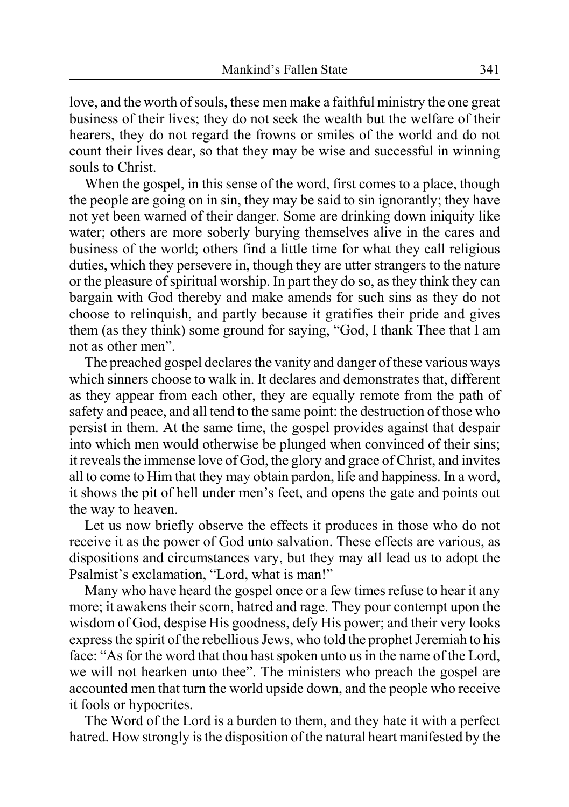love, and the worth of souls, these men make a faithful ministry the one great business of their lives; they do not seek the wealth but the welfare of their hearers, they do not regard the frowns or smiles of the world and do not count their lives dear, so that they may be wise and successful in winning souls to Christ.

When the gospel, in this sense of the word, first comes to a place, though the people are going on in sin, they may be said to sin ignorantly; they have not yet been warned of their danger. Some are drinking down iniquity like water; others are more soberly burying themselves alive in the cares and business of the world; others find a little time for what they call religious duties, which they persevere in, though they are utter strangers to the nature or the pleasure of spiritual worship. In part they do so, as they think they can bargain with God thereby and make amends for such sins as they do not choose to relinquish, and partly because it gratifies their pride and gives them (as they think) some ground for saying, "God, I thank Thee that I am not as other men".

The preached gospel declares the vanity and danger of these various ways which sinners choose to walk in. It declares and demonstrates that, different as they appear from each other, they are equally remote from the path of safety and peace, and all tend to the same point: the destruction of those who persist in them. At the same time, the gospel provides against that despair into which men would otherwise be plunged when convinced of their sins; it reveals the immense love of God, the glory and grace of Christ, and invites all to come to Him that they may obtain pardon, life and happiness. In a word, it shows the pit of hell under men's feet, and opens the gate and points out the way to heaven.

Let us now briefly observe the effects it produces in those who do not receive it as the power of God unto salvation. These effects are various, as dispositions and circumstances vary, but they may all lead us to adopt the Psalmist's exclamation, "Lord, what is man!"

Many who have heard the gospel once or a few times refuse to hear it any more; it awakens their scorn, hatred and rage. They pour contempt upon the wisdom of God, despise His goodness, defy His power; and their very looks express the spirit of the rebellious Jews, who told the prophet Jeremiah to his face: "As for the word that thou hast spoken unto us in the name of the Lord, we will not hearken unto thee". The ministers who preach the gospel are accounted men that turn the world upside down, and the people who receive it fools or hypocrites.

The Word of the Lord is a burden to them, and they hate it with a perfect hatred. How strongly is the disposition of the natural heart manifested by the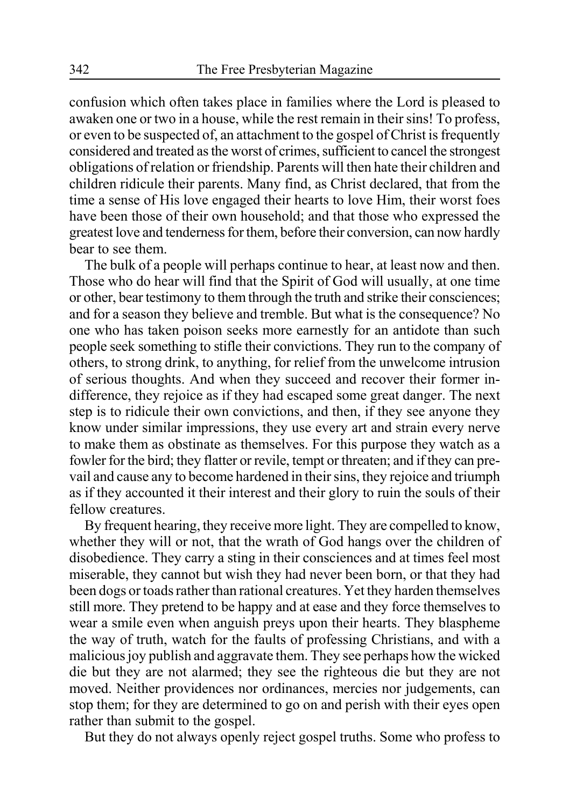confusion which often takes place in families where the Lord is pleased to awaken one or two in a house, while the rest remain in their sins! To profess, or even to be suspected of, an attachment to the gospel of Christ is frequently considered and treated as the worst of crimes, sufficient to cancel the strongest obligations of relation or friendship. Parents will then hate their children and children ridicule their parents. Many find, as Christ declared, that from the time a sense of His love engaged their hearts to love Him, their worst foes have been those of their own household; and that those who expressed the greatest love and tenderness for them, before their conversion, can now hardly bear to see them.

The bulk of a people will perhaps continue to hear, at least now and then. Those who do hear will find that the Spirit of God will usually, at one time or other, bear testimony to them through the truth and strike their consciences; and for a season they believe and tremble. But what is the consequence? No one who has taken poison seeks more earnestly for an antidote than such people seek something to stifle their convictions. They run to the company of others, to strong drink, to anything, for relief from the unwelcome intrusion of serious thoughts. And when they succeed and recover their former indifference, they rejoice as if they had escaped some great danger. The next step is to ridicule their own convictions, and then, if they see anyone they know under similar impressions, they use every art and strain every nerve to make them as obstinate as themselves. For this purpose they watch as a fowler for the bird; they flatter or revile, tempt or threaten; and if they can prevail and cause any to become hardened in their sins, they rejoice and triumph as if they accounted it their interest and their glory to ruin the souls of their fellow creatures.

By frequent hearing, they receive more light. They are compelled to know, whether they will or not, that the wrath of God hangs over the children of disobedience. They carry a sting in their consciences and at times feel most miserable, they cannot but wish they had never been born, or that they had been dogs or toads rather than rational creatures. Yet they harden themselves still more. They pretend to be happy and at ease and they force themselves to wear a smile even when anguish preys upon their hearts. They blaspheme the way of truth, watch for the faults of professing Christians, and with a malicious joy publish and aggravate them. They see perhaps how the wicked die but they are not alarmed; they see the righteous die but they are not moved. Neither providences nor ordinances, mercies nor judgements, can stop them; for they are determined to go on and perish with their eyes open rather than submit to the gospel.

But they do not always openly reject gospel truths. Some who profess to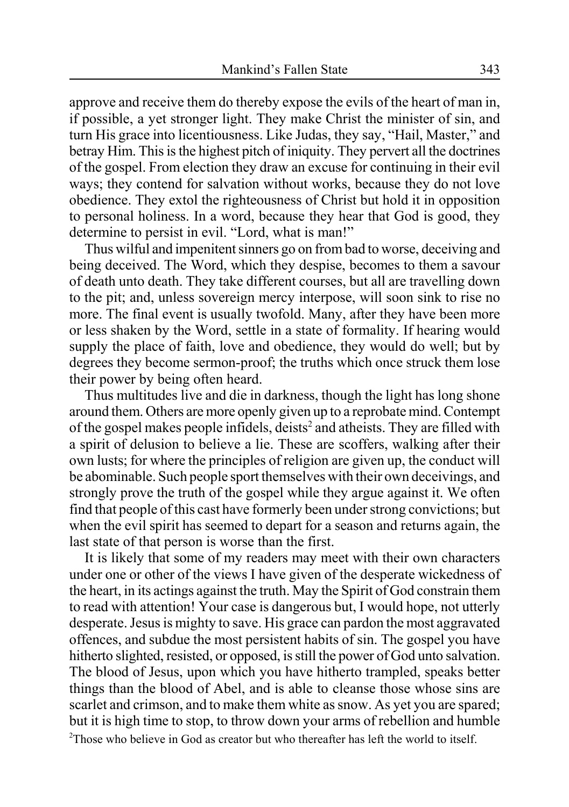approve and receive them do thereby expose the evils of the heart of man in, if possible, a yet stronger light. They make Christ the minister of sin, and turn His grace into licentiousness. Like Judas, they say, "Hail, Master," and betray Him. This is the highest pitch of iniquity. They pervert all the doctrines of the gospel. From election they draw an excuse for continuing in their evil ways; they contend for salvation without works, because they do not love obedience. They extol the righteousness of Christ but hold it in opposition to personal holiness. In a word, because they hear that God is good, they determine to persist in evil. "Lord, what is man!"

Thus wilful and impenitent sinners go on from bad to worse, deceiving and being deceived. The Word, which they despise, becomes to them a savour of death unto death. They take different courses, but all are travelling down to the pit; and, unless sovereign mercy interpose, will soon sink to rise no more. The final event is usually twofold. Many, after they have been more or less shaken by the Word, settle in a state of formality. If hearing would supply the place of faith, love and obedience, they would do well; but by degrees they become sermon-proof; the truths which once struck them lose their power by being often heard.

Thus multitudes live and die in darkness, though the light has long shone around them. Others are more openly given up to a reprobate mind. Contempt of the gospel makes people infidels, deists<sup>2</sup> and atheists. They are filled with a spirit of delusion to believe a lie. These are scoffers, walking after their own lusts; for where the principles of religion are given up, the conduct will be abominable. Such people sport themselves with their own deceivings, and strongly prove the truth of the gospel while they argue against it. We often find that people of this cast have formerly been under strong convictions; but when the evil spirit has seemed to depart for a season and returns again, the last state of that person is worse than the first.

It is likely that some of my readers may meet with their own characters under one or other of the views I have given of the desperate wickedness of the heart, in its actings against the truth. May the Spirit of God constrain them to read with attention! Your case is dangerous but, I would hope, not utterly desperate. Jesus is mighty to save. His grace can pardon the most aggravated offences, and subdue the most persistent habits of sin. The gospel you have hitherto slighted, resisted, or opposed, is still the power of God unto salvation. The blood of Jesus, upon which you have hitherto trampled, speaks better things than the blood of Abel, and is able to cleanse those whose sins are scarlet and crimson, and to make them white as snow. As yet you are spared; but it is high time to stop, to throw down your arms of rebellion and humble <sup>2</sup>Those who believe in God as creator but who thereafter has left the world to itself.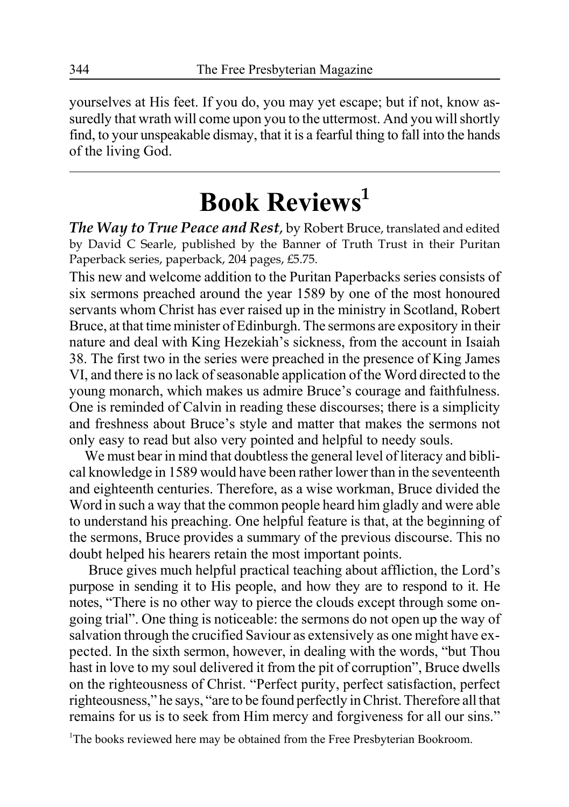yourselves at His feet. If you do, you may yet escape; but if not, know assuredly that wrath will come upon you to the uttermost. And you will shortly find, to your unspeakable dismay, that it is a fearful thing to fall into the hands of the living God.

## **Book Reviews<sup>1</sup>**

*The Way to True Peace and Rest*, by Robert Bruce, translated and edited by David C Searle, published by the Banner of Truth Trust in their Puritan Paperback series, paperback, 204 pages, £5.75.

This new and welcome addition to the Puritan Paperbacks series consists of six sermons preached around the year 1589 by one of the most honoured servants whom Christ has ever raised up in the ministry in Scotland, Robert Bruce, at that time minister of Edinburgh. The sermons are expository in their nature and deal with King Hezekiah's sickness, from the account in Isaiah 38. The first two in the series were preached in the presence of King James VI, and there is no lack of seasonable application of the Word directed to the young monarch, which makes us admire Bruce's courage and faithfulness. One is reminded of Calvin in reading these discourses; there is a simplicity and freshness about Bruce's style and matter that makes the sermons not only easy to read but also very pointed and helpful to needy souls.

We must bear in mind that doubtless the general level of literacy and biblical knowledge in 1589 would have been rather lower than in the seventeenth and eighteenth centuries. Therefore, as a wise workman, Bruce divided the Word in such a way that the common people heard him gladly and were able to understand his preaching. One helpful feature is that, at the beginning of the sermons, Bruce provides a summary of the previous discourse. This no doubt helped his hearers retain the most important points.

Bruce gives much helpful practical teaching about affliction, the Lord's purpose in sending it to His people, and how they are to respond to it. He notes, "There is no other way to pierce the clouds except through some ongoing trial". One thing is noticeable: the sermons do not open up the way of salvation through the crucified Saviour as extensively as one might have expected. In the sixth sermon, however, in dealing with the words, "but Thou hast in love to my soul delivered it from the pit of corruption", Bruce dwells on the righteousness of Christ. "Perfect purity, perfect satisfaction, perfect righteousness," he says, "are to be found perfectly in Christ. Therefore all that remains for us is to seek from Him mercy and forgiveness for all our sins."

<sup>1</sup>The books reviewed here may be obtained from the Free Presbyterian Bookroom.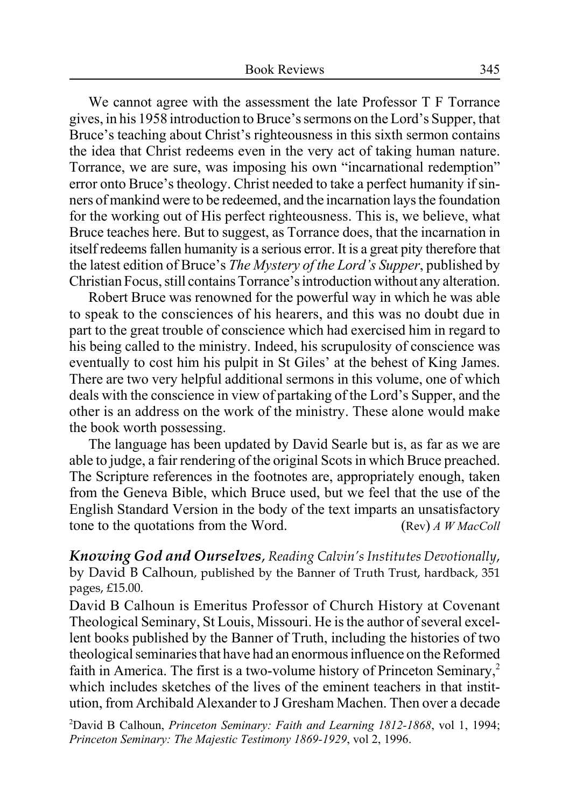We cannot agree with the assessment the late Professor T F Torrance gives, in his 1958 introduction to Bruce's sermons on the Lord's Supper, that Bruce's teaching about Christ's righteousness in this sixth sermon contains the idea that Christ redeems even in the very act of taking human nature. Torrance, we are sure, was imposing his own "incarnational redemption" error onto Bruce's theology. Christ needed to take a perfect humanity if sinners of mankind were to be redeemed, and the incarnation lays the foundation for the working out of His perfect righteousness. This is, we believe, what Bruce teaches here. But to suggest, as Torrance does, that the incarnation in itself redeems fallen humanity is a serious error. It is a great pity therefore that the latest edition of Bruce's *The Mystery of the Lord's Supper*, published by Christian Focus, still contains Torrance's introduction without any alteration.

Robert Bruce was renowned for the powerful way in which he was able to speak to the consciences of his hearers, and this was no doubt due in part to the great trouble of conscience which had exercised him in regard to his being called to the ministry. Indeed, his scrupulosity of conscience was eventually to cost him his pulpit in St Giles' at the behest of King James. There are two very helpful additional sermons in this volume, one of which deals with the conscience in view of partaking of the Lord's Supper, and the other is an address on the work of the ministry. These alone would make the book worth possessing.

The language has been updated by David Searle but is, as far as we are able to judge, a fair rendering of the original Scots in which Bruce preached. The Scripture references in the footnotes are, appropriately enough, taken from the Geneva Bible, which Bruce used, but we feel that the use of the English Standard Version in the body of the text imparts an unsatisfactory tone to the quotations from the Word. (Rev) *A W MacColl*

*Knowing God and Ourselves*, *Reading Calvin's Institutes Devotionally*, by David B Calhoun, published by the Banner of Truth Trust, hardback, 351 pages, £15.00.

David B Calhoun is Emeritus Professor of Church History at Covenant Theological Seminary, St Louis, Missouri. He is the author of several excellent books published by the Banner of Truth, including the histories of two theological seminaries that have had an enormous influence on the Reformed faith in America. The first is a two-volume history of Princeton Seminary,<sup>2</sup> which includes sketches of the lives of the eminent teachers in that institution, from Archibald Alexander to J Gresham Machen. Then over a decade

2 David B Calhoun, *Princeton Seminary: Faith and Learning 1812-1868*, vol 1, 1994; *Princeton Seminary: The Majestic Testimony 1869-1929*, vol 2, 1996.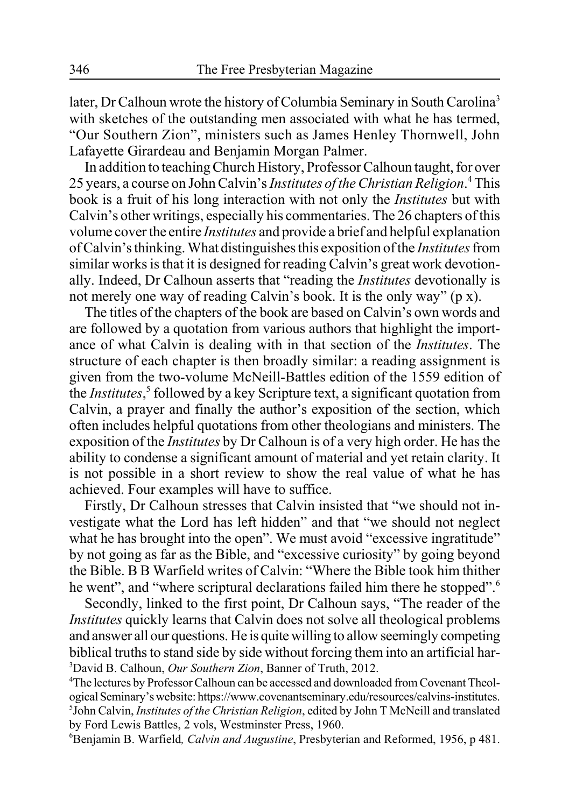later, Dr Calhoun wrote the history of Columbia Seminary in South Carolina<sup>3</sup> with sketches of the outstanding men associated with what he has termed, "Our Southern Zion", ministers such as James Henley Thornwell, John Lafayette Girardeau and Benjamin Morgan Palmer.

In addition to teaching Church History, Professor Calhoun taught, for over 25 years, a course on John Calvin's *Institutes of the Christian Religion*.<sup>4</sup> This book is a fruit of his long interaction with not only the *Institutes* but with Calvin's other writings, especially his commentaries. The 26 chapters of this volume cover the entire *Institutes* and provide a brief and helpful explanation of Calvin's thinking. What distinguishes this exposition of the *Institutes* from similar works is that it is designed for reading Calvin's great work devotionally. Indeed, Dr Calhoun asserts that "reading the *Institutes* devotionally is not merely one way of reading Calvin's book. It is the only way" (p x).

The titles of the chapters of the book are based on Calvin's own words and are followed by a quotation from various authors that highlight the importance of what Calvin is dealing with in that section of the *Institutes*. The structure of each chapter is then broadly similar: a reading assignment is given from the two-volume McNeill-Battles edition of the 1559 edition of the *Institutes*, 5 followed by a key Scripture text, a significant quotation from Calvin, a prayer and finally the author's exposition of the section, which often includes helpful quotations from other theologians and ministers. The exposition of the *Institutes* by Dr Calhoun is of a very high order. He has the ability to condense a significant amount of material and yet retain clarity. It is not possible in a short review to show the real value of what he has achieved. Four examples will have to suffice.

Firstly, Dr Calhoun stresses that Calvin insisted that "we should not investigate what the Lord has left hidden" and that "we should not neglect what he has brought into the open". We must avoid "excessive ingratitude" by not going as far as the Bible, and "excessive curiosity" by going beyond the Bible. B B Warfield writes of Calvin: "Where the Bible took him thither he went", and "where scriptural declarations failed him there he stopped".<sup>6</sup>

Secondly, linked to the first point, Dr Calhoun says, "The reader of the *Institutes* quickly learns that Calvin does not solve all theological problems and answer all our questions. He is quite willing to allow seemingly competing biblical truths to stand side by side without forcing them into an artificial har- 3 David B. Calhoun, *Our Southern Zion*, Banner of Truth, 2012.

4 The lectures by Professor Calhoun can be accessed and downloaded from Covenant Theological Seminary's website: https://www.covenantseminary.edu/resources/calvins-institutes. 5 John Calvin, *Institutes of the Christian Religion*, edited by John T McNeill and translated by Ford Lewis Battles, 2 vols, Westminster Press, 1960.

6 Benjamin B. Warfield*, Calvin and Augustine*, Presbyterian and Reformed, 1956, p 481.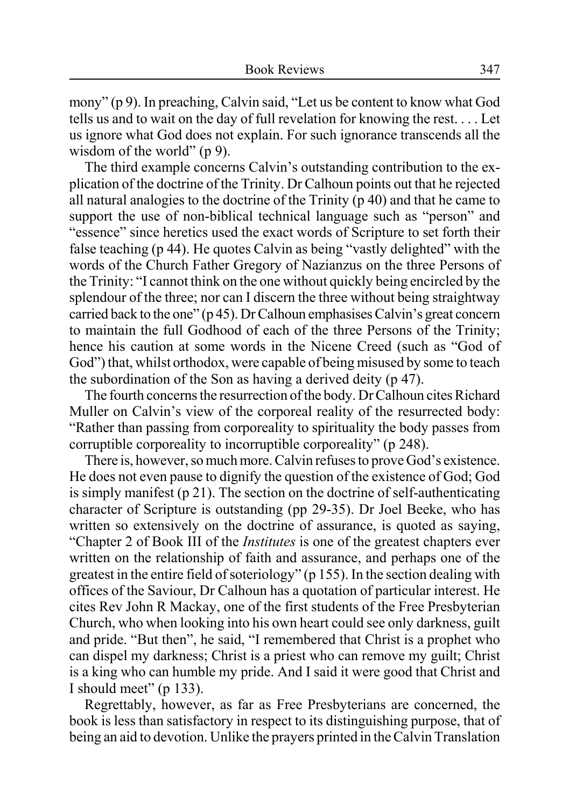mony" (p 9). In preaching, Calvin said, "Let us be content to know what God tells us and to wait on the day of full revelation for knowing the rest. . . . Let us ignore what God does not explain. For such ignorance transcends all the wisdom of the world" (p 9).

The third example concerns Calvin's outstanding contribution to the explication of the doctrine of the Trinity. Dr Calhoun points out that he rejected all natural analogies to the doctrine of the Trinity (p 40) and that he came to support the use of non-biblical technical language such as "person" and "essence" since heretics used the exact words of Scripture to set forth their false teaching (p 44). He quotes Calvin as being "vastly delighted" with the words of the Church Father Gregory of Nazianzus on the three Persons of the Trinity: "I cannot think on the one without quickly being encircled by the splendour of the three; nor can I discern the three without being straightway carried back to the one" (p 45). Dr Calhoun emphasises Calvin's great concern to maintain the full Godhood of each of the three Persons of the Trinity; hence his caution at some words in the Nicene Creed (such as "God of God") that, whilst orthodox, were capable of being misused by some to teach the subordination of the Son as having a derived deity (p 47).

The fourth concerns the resurrection of the body. Dr Calhoun cites Richard Muller on Calvin's view of the corporeal reality of the resurrected body: "Rather than passing from corporeality to spirituality the body passes from corruptible corporeality to incorruptible corporeality" (p 248).

There is, however, so much more. Calvin refuses to prove God's existence. He does not even pause to dignify the question of the existence of God; God is simply manifest (p 21). The section on the doctrine of self-authenticating character of Scripture is outstanding (pp 29-35). Dr Joel Beeke, who has written so extensively on the doctrine of assurance, is quoted as saying, "Chapter 2 of Book III of the *Institutes* is one of the greatest chapters ever written on the relationship of faith and assurance, and perhaps one of the greatest in the entire field of soteriology" (p 155). In the section dealing with offices of the Saviour, Dr Calhoun has a quotation of particular interest. He cites Rev John R Mackay, one of the first students of the Free Presbyterian Church, who when looking into his own heart could see only darkness, guilt and pride. "But then", he said, "I remembered that Christ is a prophet who can dispel my darkness; Christ is a priest who can remove my guilt; Christ is a king who can humble my pride. And I said it were good that Christ and I should meet" (p 133).

Regrettably, however, as far as Free Presbyterians are concerned, the book is less than satisfactory in respect to its distinguishing purpose, that of being an aid to devotion. Unlike the prayers printed in the Calvin Translation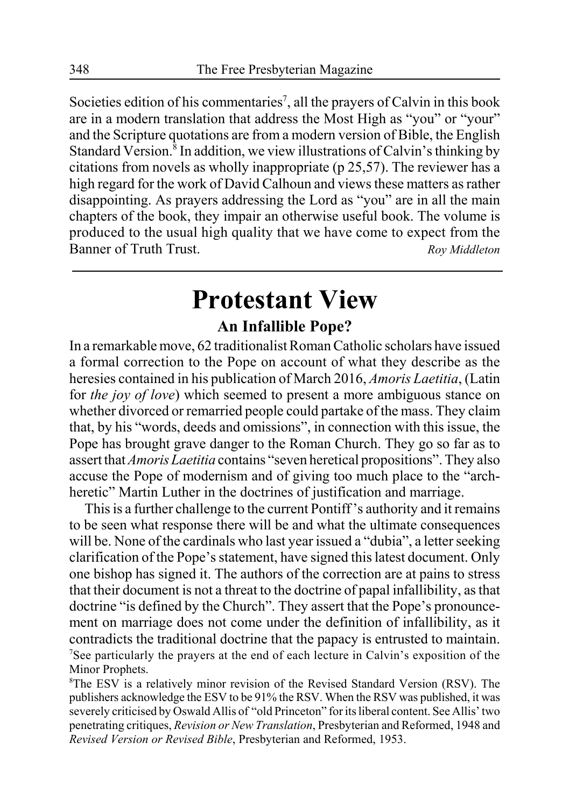Societies edition of his commentaries<sup>7</sup>, all the prayers of Calvin in this book are in a modern translation that address the Most High as "you" or "your" and the Scripture quotations are from a modern version of Bible, the English Standard Version.<sup>8</sup> In addition, we view illustrations of Calvin's thinking by citations from novels as wholly inappropriate (p 25,57). The reviewer has a high regard for the work of David Calhoun and views these matters as rather disappointing. As prayers addressing the Lord as "you" are in all the main chapters of the book, they impair an otherwise useful book. The volume is produced to the usual high quality that we have come to expect from the Banner of Truth Trust. *Roy Middleton*

## **Protestant View**

### **An Infallible Pope?**

In a remarkable move, 62 traditionalist Roman Catholic scholars have issued a formal correction to the Pope on account of what they describe as the heresies contained in his publication of March 2016, *Amoris Laetitia*, (Latin for *the joy of love*) which seemed to present a more ambiguous stance on whether divorced or remarried people could partake of the mass. They claim that, by his "words, deeds and omissions", in connection with this issue, the Pope has brought grave danger to the Roman Church. They go so far as to assert that *Amoris Laetitia* contains "seven heretical propositions". They also accuse the Pope of modernism and of giving too much place to the "archheretic" Martin Luther in the doctrines of justification and marriage.

This is a further challenge to the current Pontiff 's authority and it remains to be seen what response there will be and what the ultimate consequences will be. None of the cardinals who last year issued a "dubia", a letter seeking clarification of the Pope's statement, have signed this latest document. Only one bishop has signed it. The authors of the correction are at pains to stress that their document is not a threat to the doctrine of papal infallibility, as that doctrine "is defined by the Church". They assert that the Pope's pronouncement on marriage does not come under the definition of infallibility, as it contradicts the traditional doctrine that the papacy is entrusted to maintain. <sup>7</sup>See particularly the prayers at the end of each lecture in Calvin's exposition of the Minor Prophets.

8 The ESV is a relatively minor revision of the Revised Standard Version (RSV). The publishers acknowledge the ESV to be 91% the RSV. When the RSV was published, it was severely criticised by Oswald Allis of "old Princeton" for its liberal content. See Allis' two penetrating critiques, *Revision or New Translation*, Presbyterian and Reformed, 1948 and *Revised Version or Revised Bible*, Presbyterian and Reformed, 1953.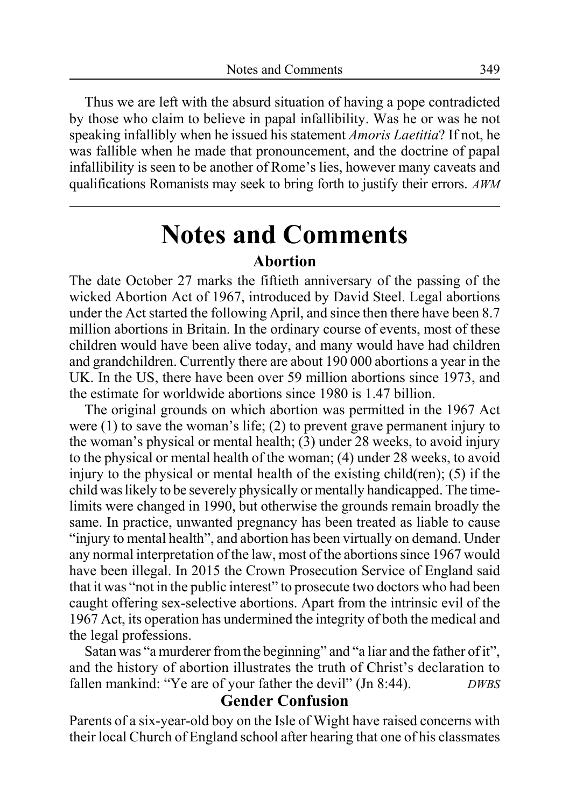Thus we are left with the absurd situation of having a pope contradicted by those who claim to believe in papal infallibility. Was he or was he not speaking infallibly when he issued his statement *Amoris Laetitia*? If not, he was fallible when he made that pronouncement, and the doctrine of papal infallibility is seen to be another of Rome's lies, however many caveats and qualifications Romanists may seek to bring forth to justify their errors. *AWM*

## **Notes and Comments Abortion**

The date October 27 marks the fiftieth anniversary of the passing of the wicked Abortion Act of 1967, introduced by David Steel. Legal abortions under the Act started the following April, and since then there have been 8.7 million abortions in Britain. In the ordinary course of events, most of these children would have been alive today, and many would have had children and grandchildren. Currently there are about 190 000 abortions a year in the UK. In the US, there have been over 59 million abortions since 1973, and the estimate for worldwide abortions since 1980 is 1.47 billion.

The original grounds on which abortion was permitted in the 1967 Act were  $(1)$  to save the woman's life;  $(2)$  to prevent grave permanent injury to the woman's physical or mental health; (3) under 28 weeks, to avoid injury to the physical or mental health of the woman; (4) under 28 weeks, to avoid injury to the physical or mental health of the existing child(ren); (5) if the child was likely to be severely physically or mentally handicapped. The timelimits were changed in 1990, but otherwise the grounds remain broadly the same. In practice, unwanted pregnancy has been treated as liable to cause "injury to mental health", and abortion has been virtually on demand. Under any normal interpretation of the law, most of the abortions since 1967 would have been illegal. In 2015 the Crown Prosecution Service of England said that it was "not in the public interest" to prosecute two doctors who had been caught offering sex-selective abortions. Apart from the intrinsic evil of the 1967 Act, its operation has undermined the integrity of both the medical and the legal professions.

Satan was "a murderer from the beginning" and "a liar and the father of it", and the history of abortion illustrates the truth of Christ's declaration to fallen mankind: "Ye are of your father the devil" (Jn 8:44). *DWBS*

#### **Gender Confusion**

Parents of a six-year-old boy on the Isle of Wight have raised concerns with their local Church of England school after hearing that one of his classmates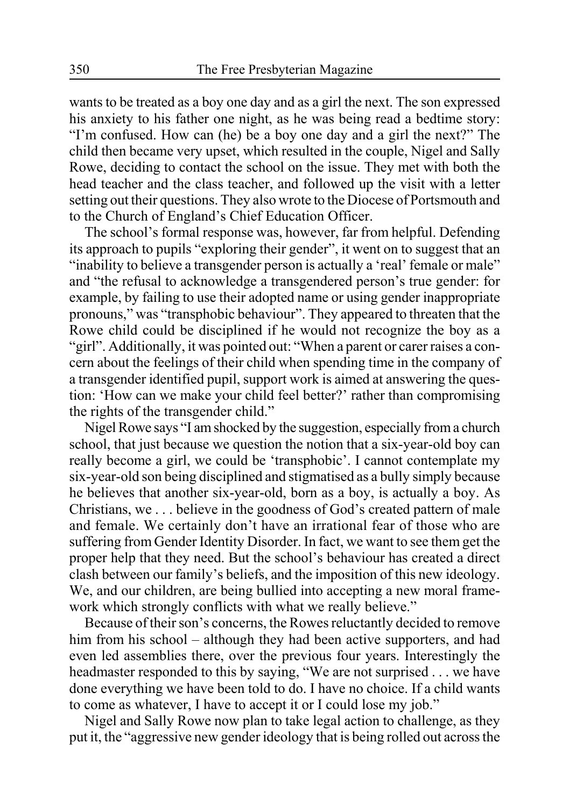wants to be treated as a boy one day and as a girl the next. The son expressed his anxiety to his father one night, as he was being read a bedtime story: "I'm confused. How can (he) be a boy one day and a girl the next?" The child then became very upset, which resulted in the couple, Nigel and Sally Rowe, deciding to contact the school on the issue. They met with both the head teacher and the class teacher, and followed up the visit with a letter setting out their questions. They also wrote to the Diocese of Portsmouth and to the Church of England's Chief Education Officer.

The school's formal response was, however, far from helpful. Defending its approach to pupils "exploring their gender", it went on to suggest that an "inability to believe a transgender person is actually a 'real' female or male" and "the refusal to acknowledge a transgendered person's true gender: for example, by failing to use their adopted name or using gender inappropriate pronouns," was "transphobic behaviour". They appeared to threaten that the Rowe child could be disciplined if he would not recognize the boy as a "girl". Additionally, it was pointed out: "When a parent or carer raises a concern about the feelings of their child when spending time in the company of a transgender identified pupil, support work is aimed at answering the question: 'How can we make your child feel better?' rather than compromising the rights of the transgender child."

Nigel Rowe says "I am shocked by the suggestion, especially from a church school, that just because we question the notion that a six-year-old boy can really become a girl, we could be 'transphobic'. I cannot contemplate my six-year-old son being disciplined and stigmatised as a bully simply because he believes that another six-year-old, born as a boy, is actually a boy. As Christians, we . . . believe in the goodness of God's created pattern of male and female. We certainly don't have an irrational fear of those who are suffering from Gender Identity Disorder. In fact, we want to see them get the proper help that they need. But the school's behaviour has created a direct clash between our family's beliefs, and the imposition of this new ideology. We, and our children, are being bullied into accepting a new moral framework which strongly conflicts with what we really believe."

Because of their son's concerns, the Rowes reluctantly decided to remove him from his school – although they had been active supporters, and had even led assemblies there, over the previous four years. Interestingly the headmaster responded to this by saying, "We are not surprised . . . we have done everything we have been told to do. I have no choice. If a child wants to come as whatever, I have to accept it or I could lose my job."

Nigel and Sally Rowe now plan to take legal action to challenge, as they put it, the "aggressive new gender ideology that is being rolled out across the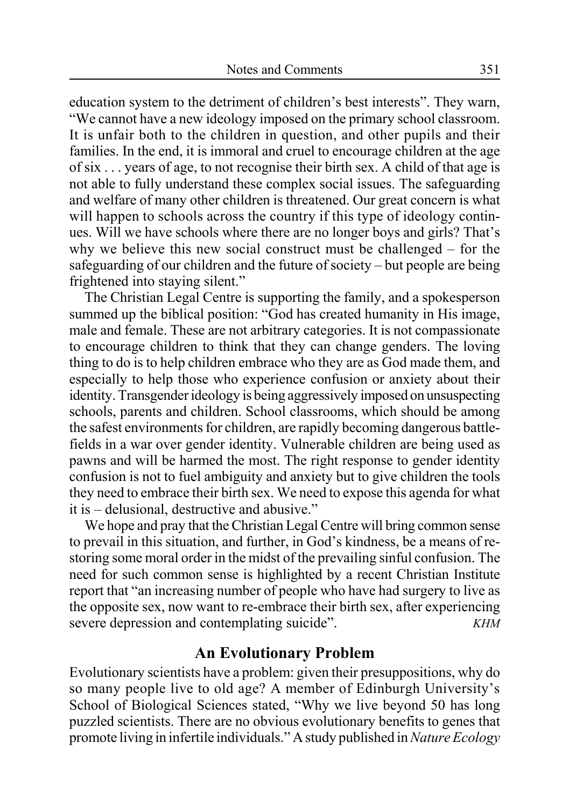education system to the detriment of children's best interests". They warn, "We cannot have a new ideology imposed on the primary school classroom. It is unfair both to the children in question, and other pupils and their families. In the end, it is immoral and cruel to encourage children at the age of six . . . years of age, to not recognise their birth sex. A child of that age is not able to fully understand these complex social issues. The safeguarding and welfare of many other children is threatened. Our great concern is what will happen to schools across the country if this type of ideology continues. Will we have schools where there are no longer boys and girls? That's why we believe this new social construct must be challenged – for the safeguarding of our children and the future of society – but people are being frightened into staying silent."

The Christian Legal Centre is supporting the family, and a spokesperson summed up the biblical position: "God has created humanity in His image, male and female. These are not arbitrary categories. It is not compassionate to encourage children to think that they can change genders. The loving thing to do is to help children embrace who they are as God made them, and especially to help those who experience confusion or anxiety about their identity. Transgender ideology is being aggressively imposed on unsuspecting schools, parents and children. School classrooms, which should be among the safest environments for children, are rapidly becoming dangerous battlefields in a war over gender identity. Vulnerable children are being used as pawns and will be harmed the most. The right response to gender identity confusion is not to fuel ambiguity and anxiety but to give children the tools they need to embrace their birth sex. We need to expose this agenda for what it is – delusional, destructive and abusive."

We hope and pray that the Christian Legal Centre will bring common sense to prevail in this situation, and further, in God's kindness, be a means of restoring some moral order in the midst of the prevailing sinful confusion. The need for such common sense is highlighted by a recent Christian Institute report that "an increasing number of people who have had surgery to live as the opposite sex, now want to re-embrace their birth sex, after experiencing severe depression and contemplating suicide". *KHM* 

### **An Evolutionary Problem**

Evolutionary scientists have a problem: given their presuppositions, why do so many people live to old age? A member of Edinburgh University's School of Biological Sciences stated, "Why we live beyond 50 has long puzzled scientists. There are no obvious evolutionary benefits to genes that promote living in infertile individuals." A study published in *Nature Ecology*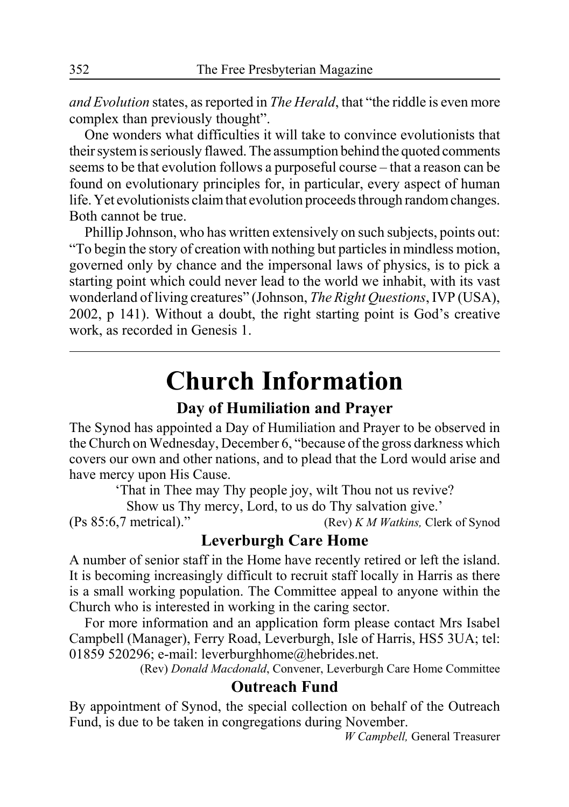*and Evolution* states, as reported in *The Herald*, that "the riddle is even more complex than previously thought".

One wonders what difficulties it will take to convince evolutionists that their system is seriously flawed. The assumption behind the quoted comments seems to be that evolution follows a purposeful course – that a reason can be found on evolutionary principles for, in particular, every aspect of human life. Yet evolutionists claim that evolution proceeds through random changes. Both cannot be true.

Phillip Johnson, who has written extensively on such subjects, points out: "To begin the story of creation with nothing but particles in mindless motion, governed only by chance and the impersonal laws of physics, is to pick a starting point which could never lead to the world we inhabit, with its vast wonderland of living creatures" (Johnson, *The Right Questions*, IVP (USA), 2002, p 141). Without a doubt, the right starting point is God's creative work, as recorded in Genesis 1.

## **Church Information**

### **Day of Humiliation and Prayer**

The Synod has appointed a Day of Humiliation and Prayer to be observed in the Church on Wednesday, December 6, "because of the gross darkness which covers our own and other nations, and to plead that the Lord would arise and have mercy upon His Cause.

'That in Thee may Thy people joy, wilt Thou not us revive?

Show us Thy mercy, Lord, to us do Thy salvation give.'

(Ps 85:6,7 metrical)." (Rev) *K M Watkins,* Clerk of Synod

### **Leverburgh Care Home**

A number of senior staff in the Home have recently retired or left the island. It is becoming increasingly difficult to recruit staff locally in Harris as there is a small working population. The Committee appeal to anyone within the Church who is interested in working in the caring sector.

For more information and an application form please contact Mrs Isabel Campbell (Manager), Ferry Road, Leverburgh, Isle of Harris, HS5 3UA; tel: 01859 520296; e-mail: leverburghhome@hebrides.net.

(Rev) *Donald Macdonald*, Convener, Leverburgh Care Home Committee

### **Outreach Fund**

By appointment of Synod, the special collection on behalf of the Outreach Fund, is due to be taken in congregations during November.

*W Campbell,* General Treasurer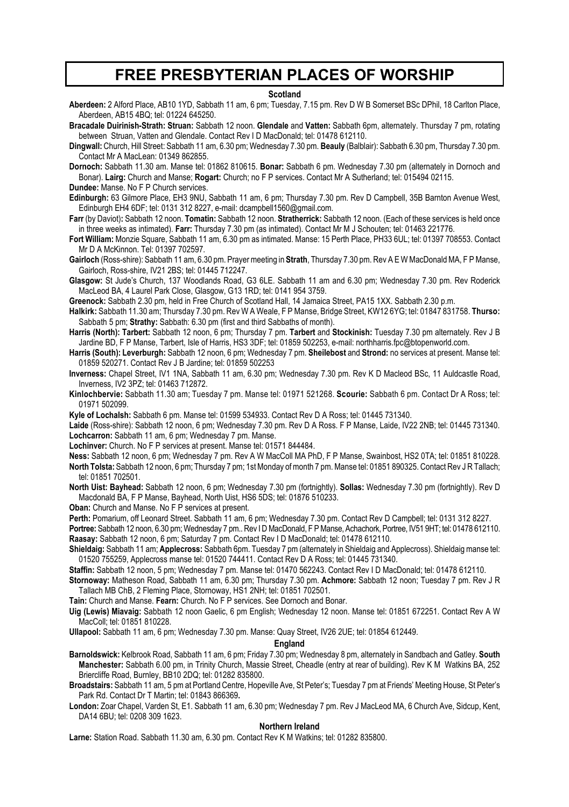### **FREE PRESBYTERIAN PLACES OF WORSHIP**

#### **Scotland**

**Aberdeen:** 2 Alford Place, AB10 1YD, Sabbath 11 am, 6 pm; Tuesday, 7.15 pm. Rev D W B Somerset BSc DPhil, 18 Carlton Place, Aberdeen, AB15 4BQ; tel: 01224 645250.

**Bracadale Duirinish-Strath: Struan:** Sabbath 12 noon. **Glendale** and **Vatten:** Sabbath 6pm, alternately. Thursday 7 pm, rotating between Struan, Vatten and Glendale. Contact Rev I D MacDonald; tel: 01478 612110.

**Dingwall:** Church, Hill Street: Sabbath 11 am, 6.30 pm; Wednesday 7.30 pm. **Beauly** (Balblair): Sabbath 6.30 pm, Thursday 7.30 pm. Contact Mr A MacLean: 01349 862855.

**Dornoch:** Sabbath 11.30 am. Manse tel: 01862 810615. **Bonar:** Sabbath 6 pm. Wednesday 7.30 pm (alternately in Dornoch and Bonar). **Lairg:** Church and Manse; **Rogart:** Church; no F P services. Contact Mr A Sutherland; tel: 015494 02115.

**Dundee:** Manse. No F P Church services.

**Edinburgh:** 63 Gilmore Place, EH3 9NU, Sabbath 11 am, 6 pm; Thursday 7.30 pm. Rev D Campbell, 35B Barnton Avenue West, Edinburgh EH4 6DF; tel: 0131 312 8227, e-mail: dcampbell1560@gmail.com.

**Farr** (by Daviot)**:** Sabbath 12 noon. **Tomatin:** Sabbath 12 noon. **Stratherrick:** Sabbath 12 noon. (Each of these services is held once in three weeks as intimated). **Farr:** Thursday 7.30 pm (as intimated). Contact Mr M J Schouten; tel: 01463 221776.

**Fort William:** Monzie Square, Sabbath 11 am, 6.30 pm as intimated. Manse: 15 Perth Place, PH33 6UL; tel: 01397 708553. Contact Mr D A McKinnon. Tel: 01397 702597.

**Gairloch** (Ross-shire): Sabbath 11 am, 6.30 pm. Prayer meeting in **Strath**, Thursday 7.30 pm. Rev A E W MacDonald MA, F P Manse, Gairloch, Ross-shire, IV21 2BS; tel: 01445 712247.

**Glasgow:** St Jude's Church, 137 Woodlands Road, G3 6LE. Sabbath 11 am and 6.30 pm; Wednesday 7.30 pm. Rev Roderick MacLeod BA, 4 Laurel Park Close, Glasgow, G13 1RD; tel: 0141 954 3759.

**Greenock:** Sabbath 2.30 pm, held in Free Church of Scotland Hall, 14 Jamaica Street, PA15 1XX. Sabbath 2.30 p.m.

**Halkirk:** Sabbath 11.30 am; Thursday 7.30 pm. Rev W A Weale, F P Manse, Bridge Street, KW12 6YG; tel: 01847 831758. **Thurso:** Sabbath 5 pm; **Strathy:** Sabbath: 6.30 pm (first and third Sabbaths of month).

**Harris (North): Tarbert:** Sabbath 12 noon, 6 pm; Thursday 7 pm. **Tarbert** and **Stockinish:** Tuesday 7.30 pm alternately. Rev J B Jardine BD, F P Manse, Tarbert, Isle of Harris, HS3 3DF; tel: 01859 502253, e-mail: northharris.fpc@btopenworld.com.

**Harris (South): Leverburgh:** Sabbath 12 noon, 6 pm; Wednesday 7 pm. **Sheilebost** and **Strond:** no services at present. Manse tel: 01859 520271. Contact Rev J B Jardine; tel: 01859 502253

**Inverness:** Chapel Street, IV1 1NA, Sabbath 11 am, 6.30 pm; Wednesday 7.30 pm. Rev K D Macleod BSc, 11 Auldcastle Road, Inverness, IV2 3PZ; tel: 01463 712872.

**Kinlochbervie:** Sabbath 11.30 am; Tuesday 7 pm. Manse tel: 01971 521268. **Scourie:** Sabbath 6 pm. Contact Dr A Ross; tel: 01971 502099.

**Kyle of Lochalsh:** Sabbath 6 pm. Manse tel: 01599 534933. Contact Rev D A Ross; tel: 01445 731340.

**Laide** (Ross-shire): Sabbath 12 noon, 6 pm; Wednesday 7.30 pm. Rev D A Ross. F P Manse, Laide, IV22 2NB; tel: 01445 731340. **Lochcarron:** Sabbath 11 am, 6 pm; Wednesday 7 pm. Manse.

**Lochinver:** Church. No F P services at present. Manse tel: 01571 844484.

**Ness:** Sabbath 12 noon, 6 pm; Wednesday 7 pm. Rev A W MacColl MA PhD, F P Manse, Swainbost, HS2 0TA; tel: 01851 810228. **North Tolsta:** Sabbath 12 noon, 6 pm; Thursday 7 pm; 1st Monday of month 7 pm. Manse tel: 01851 890325. Contact Rev J R Tallach; tel: 01851 702501.

**North Uist: Bayhead:** Sabbath 12 noon, 6 pm; Wednesday 7.30 pm (fortnightly). **Sollas:** Wednesday 7.30 pm (fortnightly). Rev D Macdonald BA, F P Manse, Bayhead, North Uist, HS6 5DS; tel: 01876 510233.

**Oban:** Church and Manse. No F P services at present.

**Perth:** Pomarium, off Leonard Street. Sabbath 11 am, 6 pm; Wednesday 7.30 pm. Contact Rev D Campbell; tel: 0131 312 8227.

**Portree:** Sabbath 12 noon, 6.30 pm; Wednesday 7 pm.. Rev I D MacDonald, F P Manse, Achachork, Portree, IV51 9HT; tel: 01478 612110. **Raasay:** Sabbath 12 noon, 6 pm; Saturday 7 pm. Contact Rev I D MacDonald; tel: 01478 612110.

**Shieldaig:** Sabbath 11 am; **Applecross:** Sabbath 6pm. Tuesday 7 pm (alternately in Shieldaig and Applecross). Shieldaig manse tel: 01520 755259, Applecross manse tel: 01520 744411. Contact Rev D A Ross; tel: 01445 731340.

**Staffin:** Sabbath 12 noon, 5 pm; Wednesday 7 pm. Manse tel: 01470 562243. Contact Rev I D MacDonald; tel: 01478 612110.

**Stornoway:** Matheson Road, Sabbath 11 am, 6.30 pm; Thursday 7.30 pm. **Achmore:** Sabbath 12 noon; Tuesday 7 pm. Rev J R Tallach MB ChB, 2 Fleming Place, Stornoway, HS1 2NH; tel: 01851 702501.

**Tain:** Church and Manse. **Fearn:** Church. No F P services. See Dornoch and Bonar.

**Uig (Lewis) Miavaig:** Sabbath 12 noon Gaelic, 6 pm English; Wednesday 12 noon. Manse tel: 01851 672251. Contact Rev A W MacColl; tel: 01851 810228.

**Ullapool:** Sabbath 11 am, 6 pm; Wednesday 7.30 pm. Manse: Quay Street, IV26 2UE; tel: 01854 612449.

#### **England**

**Barnoldswick:** Kelbrook Road, Sabbath 11 am, 6 pm; Friday 7.30 pm; Wednesday 8 pm, alternately in Sandbach and Gatley. **South Manchester:** Sabbath 6.00 pm, in Trinity Church, Massie Street, Cheadle (entry at rear of building). Rev K M Watkins BA, 252 Briercliffe Road, Burnley, BB10 2DQ; tel: 01282 835800.

**Broadstairs:** Sabbath 11 am, 5 pm at Portland Centre, Hopeville Ave, St Peter's; Tuesday 7 pm at Friends' Meeting House, St Peter's Park Rd. Contact Dr T Martin; tel: 01843 866369**.**

**London:** Zoar Chapel, Varden St, E1. Sabbath 11 am, 6.30 pm; Wednesday 7 pm. Rev J MacLeod MA, 6 Church Ave, Sidcup, Kent, DA14 6BU; tel: 0208 309 1623.

#### **Northern Ireland**

**Larne:** Station Road. Sabbath 11.30 am, 6.30 pm. Contact Rev K M Watkins; tel: 01282 835800.